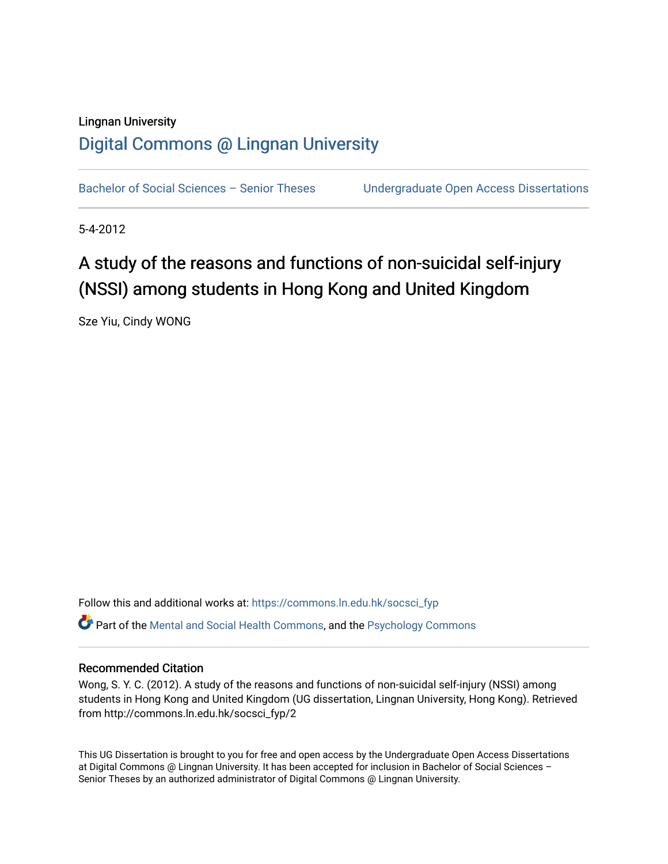# Lingnan University [Digital Commons @ Lingnan University](https://commons.ln.edu.hk/)

Bachelor of Social Sciences - Senior Theses Undergraduate Open Access Dissertations

5-4-2012

# A study of the reasons and functions of non-suicidal self-injury (NSSI) among students in Hong Kong and United Kingdom

Sze Yiu, Cindy WONG

Follow this and additional works at: [https://commons.ln.edu.hk/socsci\\_fyp](https://commons.ln.edu.hk/socsci_fyp?utm_source=commons.ln.edu.hk%2Fsocsci_fyp%2F2&utm_medium=PDF&utm_campaign=PDFCoverPages)  $\bullet$  Part of the [Mental and Social Health Commons,](http://network.bepress.com/hgg/discipline/709?utm_source=commons.ln.edu.hk%2Fsocsci_fyp%2F2&utm_medium=PDF&utm_campaign=PDFCoverPages) and the [Psychology Commons](http://network.bepress.com/hgg/discipline/404?utm_source=commons.ln.edu.hk%2Fsocsci_fyp%2F2&utm_medium=PDF&utm_campaign=PDFCoverPages)

### Recommended Citation

Wong, S. Y. C. (2012). A study of the reasons and functions of non-suicidal self-injury (NSSI) among students in Hong Kong and United Kingdom (UG dissertation, Lingnan University, Hong Kong). Retrieved from http://commons.ln.edu.hk/socsci\_fyp/2

This UG Dissertation is brought to you for free and open access by the Undergraduate Open Access Dissertations at Digital Commons @ Lingnan University. It has been accepted for inclusion in Bachelor of Social Sciences – Senior Theses by an authorized administrator of Digital Commons @ Lingnan University.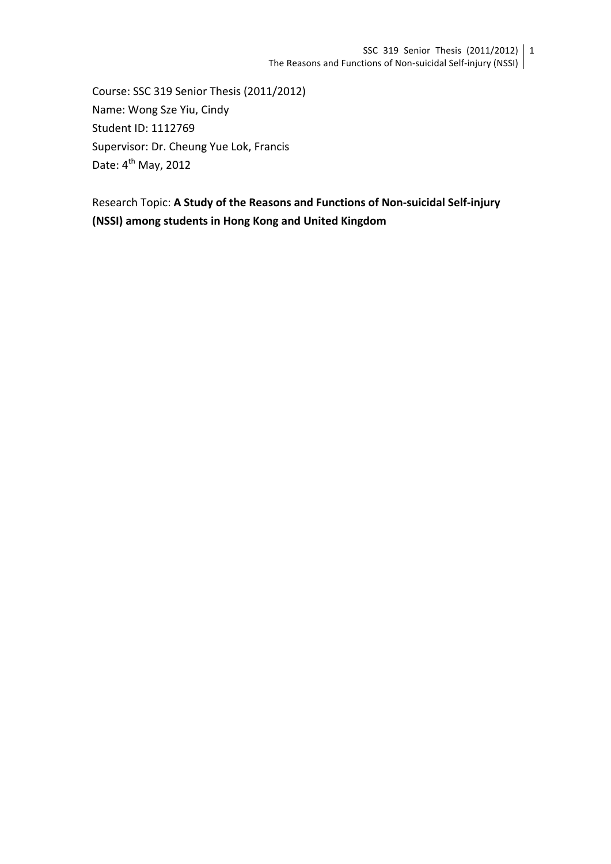Course: SSC 319 Senior Thesis (2011/2012) Name: Wong Sze Yiu, Cindy Student ID: 1112769 Supervisor: Dr. Cheung Yue Lok, Francis Date:  $4^{th}$  May, 2012

Research Topic: A Study of the Reasons and Functions of Non-suicidal Self-injury **(NSSI) among students in Hong Kong and United Kingdom**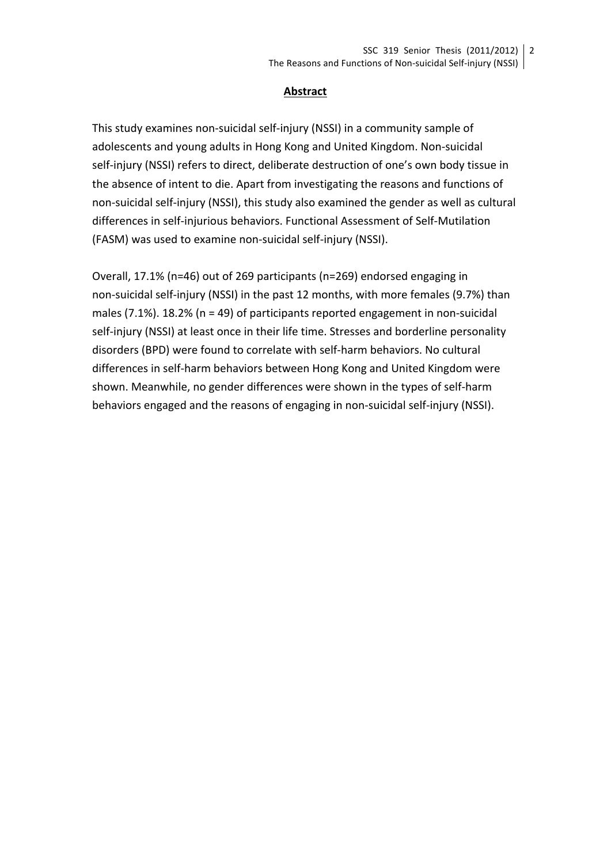#### **Abstract**

This study examines non-suicidal self-injury (NSSI) in a community sample of adolescents and young adults in Hong Kong and United Kingdom. Non-suicidal self-injury (NSSI) refers to direct, deliberate destruction of one's own body tissue in the absence of intent to die. Apart from investigating the reasons and functions of non-suicidal self-injury (NSSI), this study also examined the gender as well as cultural differences in self-injurious behaviors. Functional Assessment of Self-Mutilation (FASM) was used to examine non-suicidal self-injury (NSSI).

Overall, 17.1% (n=46) out of 269 participants (n=269) endorsed engaging in non-suicidal self-injury (NSSI) in the past 12 months, with more females (9.7%) than males  $(7.1\%)$ . 18.2%  $(n = 49)$  of participants reported engagement in non-suicidal self-injury (NSSI) at least once in their life time. Stresses and borderline personality disorders (BPD) were found to correlate with self-harm behaviors. No cultural differences in self-harm behaviors between Hong Kong and United Kingdom were shown. Meanwhile, no gender differences were shown in the types of self-harm behaviors engaged and the reasons of engaging in non-suicidal self-injury (NSSI).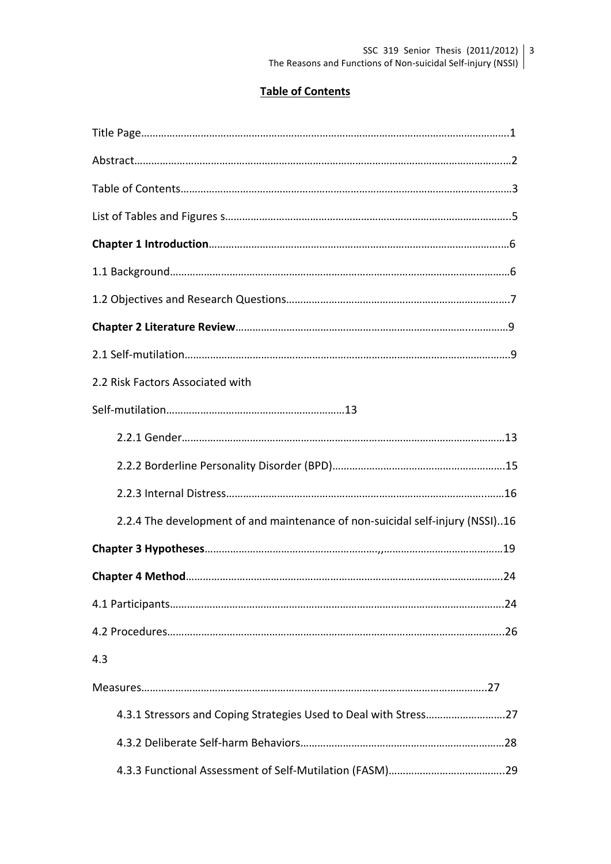# **Table of Contents**

| 2.2 Risk Factors Associated with                                              |
|-------------------------------------------------------------------------------|
|                                                                               |
|                                                                               |
|                                                                               |
|                                                                               |
| 2.2.4 The development of and maintenance of non-suicidal self-injury (NSSI)16 |
|                                                                               |
|                                                                               |
|                                                                               |
|                                                                               |
| 4.3                                                                           |
|                                                                               |
|                                                                               |
|                                                                               |
|                                                                               |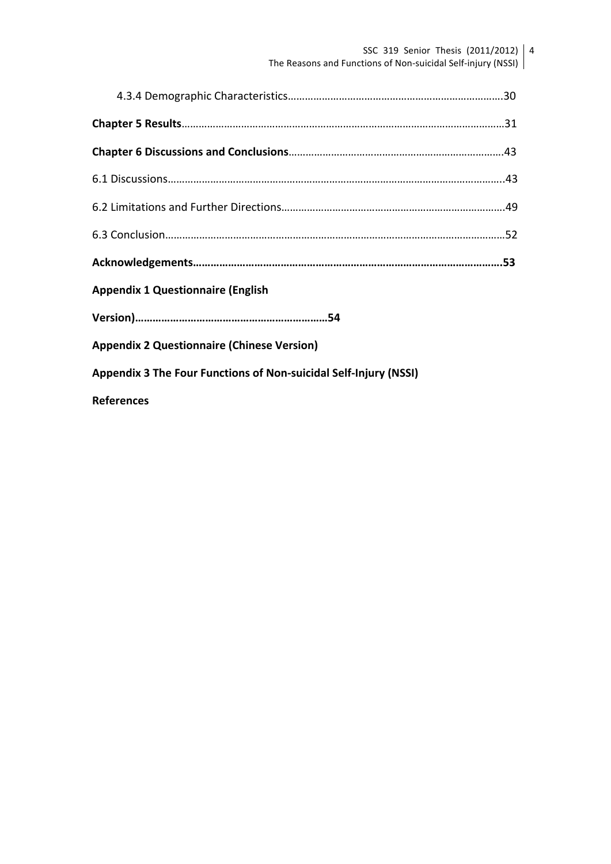SSC 319 Senior Thesis (2011/2012) The Reasons and Functions of Non-suicidal Self-injury (NSSI) 4

| <b>Appendix 1 Questionnaire (English</b>                         |  |
|------------------------------------------------------------------|--|
|                                                                  |  |
| <b>Appendix 2 Questionnaire (Chinese Version)</b>                |  |
| Appendix 3 The Four Functions of Non-suicidal Self-Injury (NSSI) |  |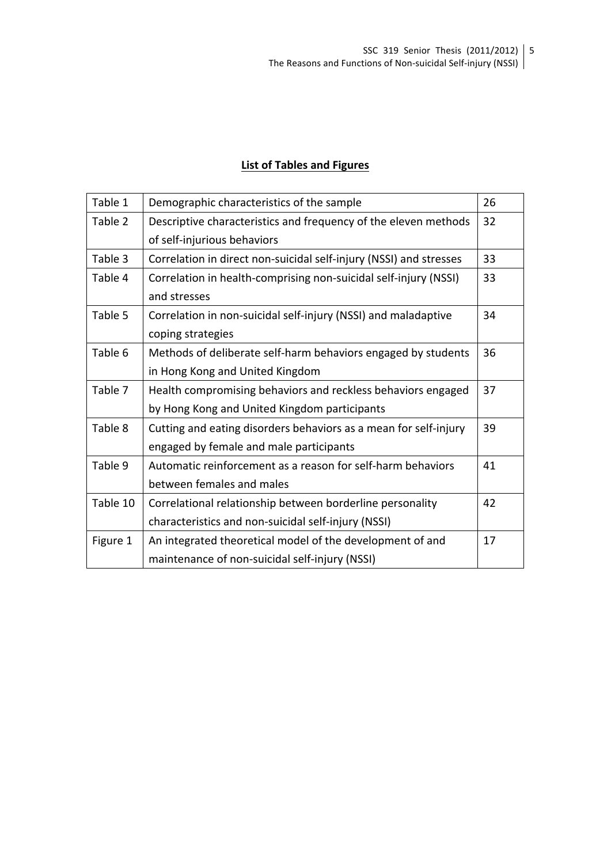# **List of Tables and Figures**

| Table 1  | Demographic characteristics of the sample                          | 26 |
|----------|--------------------------------------------------------------------|----|
| Table 2  | Descriptive characteristics and frequency of the eleven methods    | 32 |
|          | of self-injurious behaviors                                        |    |
| Table 3  | Correlation in direct non-suicidal self-injury (NSSI) and stresses | 33 |
| Table 4  | Correlation in health-comprising non-suicidal self-injury (NSSI)   | 33 |
|          | and stresses                                                       |    |
| Table 5  | Correlation in non-suicidal self-injury (NSSI) and maladaptive     | 34 |
|          | coping strategies                                                  |    |
| Table 6  | Methods of deliberate self-harm behaviors engaged by students      | 36 |
|          | in Hong Kong and United Kingdom                                    |    |
| Table 7  | Health compromising behaviors and reckless behaviors engaged       | 37 |
|          | by Hong Kong and United Kingdom participants                       |    |
| Table 8  | Cutting and eating disorders behaviors as a mean for self-injury   | 39 |
|          | engaged by female and male participants                            |    |
| Table 9  | Automatic reinforcement as a reason for self-harm behaviors        | 41 |
|          | between females and males                                          |    |
| Table 10 | Correlational relationship between borderline personality          | 42 |
|          | characteristics and non-suicidal self-injury (NSSI)                |    |
| Figure 1 | An integrated theoretical model of the development of and          | 17 |
|          | maintenance of non-suicidal self-injury (NSSI)                     |    |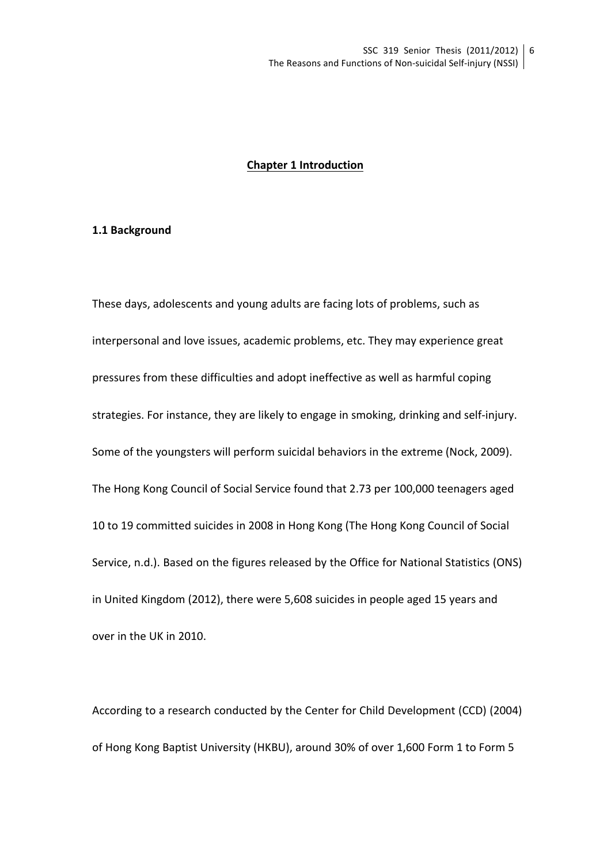#### **Chapter 1 Introduction**

#### **1.1 Background**

These days, adolescents and young adults are facing lots of problems, such as interpersonal and love issues, academic problems, etc. They may experience great pressures from these difficulties and adopt ineffective as well as harmful coping strategies. For instance, they are likely to engage in smoking, drinking and self-injury. Some of the youngsters will perform suicidal behaviors in the extreme (Nock, 2009). The Hong Kong Council of Social Service found that 2.73 per 100,000 teenagers aged 10 to 19 committed suicides in 2008 in Hong Kong (The Hong Kong Council of Social Service, n.d.). Based on the figures released by the Office for National Statistics (ONS) in United Kingdom (2012), there were 5,608 suicides in people aged 15 years and over in the UK in 2010.

According to a research conducted by the Center for Child Development (CCD) (2004) of Hong Kong Baptist University (HKBU), around 30% of over 1,600 Form 1 to Form 5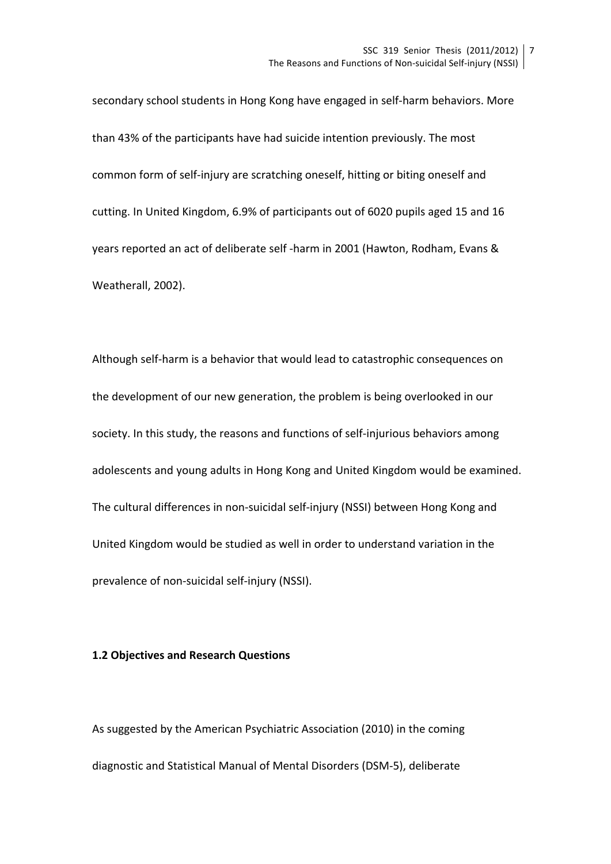secondary school students in Hong Kong have engaged in self-harm behaviors. More than 43% of the participants have had suicide intention previously. The most common form of self-injury are scratching oneself, hitting or biting oneself and cutting. In United Kingdom, 6.9% of participants out of 6020 pupils aged 15 and 16 years reported an act of deliberate self -harm in 2001 (Hawton, Rodham, Evans & Weatherall, 2002).

Although self-harm is a behavior that would lead to catastrophic consequences on the development of our new generation, the problem is being overlooked in our society. In this study, the reasons and functions of self-injurious behaviors among adolescents and young adults in Hong Kong and United Kingdom would be examined. The cultural differences in non-suicidal self-injury (NSSI) between Hong Kong and United Kingdom would be studied as well in order to understand variation in the prevalence of non-suicidal self-injury (NSSI).

#### **1.2 Objectives and Research Questions**

As suggested by the American Psychiatric Association (2010) in the coming diagnostic and Statistical Manual of Mental Disorders (DSM-5), deliberate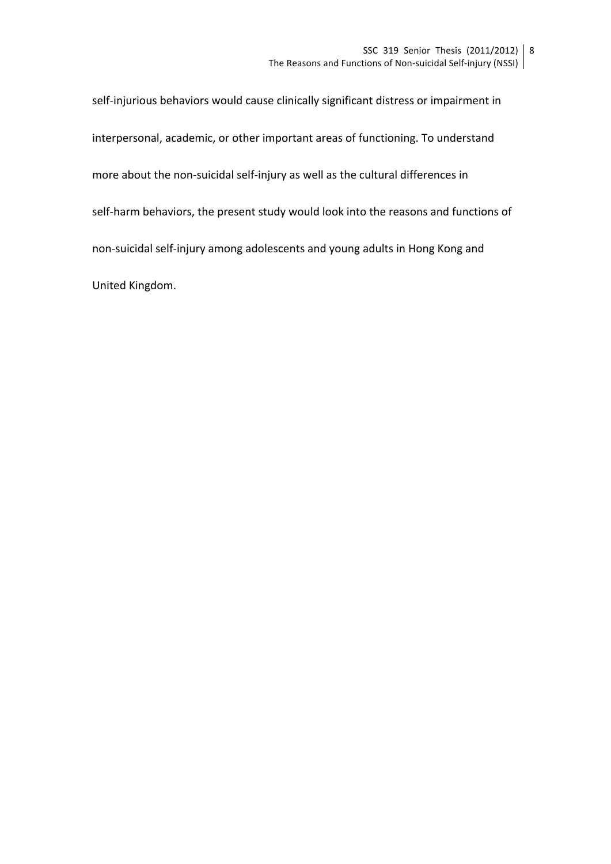self-injurious behaviors would cause clinically significant distress or impairment in interpersonal, academic, or other important areas of functioning. To understand more about the non-suicidal self-injury as well as the cultural differences in self-harm behaviors, the present study would look into the reasons and functions of non-suicidal self-injury among adolescents and young adults in Hong Kong and United Kingdom.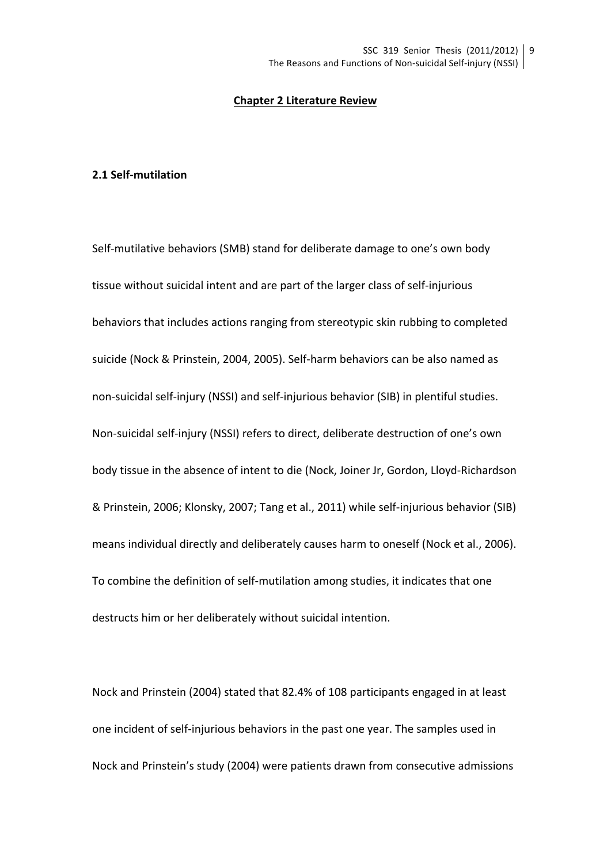#### **Chapter 2 Literature Review**

#### **2.1 Self-mutilation**

Self-mutilative behaviors (SMB) stand for deliberate damage to one's own body tissue without suicidal intent and are part of the larger class of self-injurious behaviors that includes actions ranging from stereotypic skin rubbing to completed suicide (Nock & Prinstein, 2004, 2005). Self-harm behaviors can be also named as non-suicidal self-injury (NSSI) and self-injurious behavior (SIB) in plentiful studies. Non-suicidal self-injury (NSSI) refers to direct, deliberate destruction of one's own body tissue in the absence of intent to die (Nock, Joiner Jr, Gordon, Lloyd-Richardson & Prinstein, 2006; Klonsky, 2007; Tang et al., 2011) while self-injurious behavior (SIB) means individual directly and deliberately causes harm to oneself (Nock et al., 2006). To combine the definition of self-mutilation among studies, it indicates that one destructs him or her deliberately without suicidal intention.

Nock and Prinstein (2004) stated that 82.4% of 108 participants engaged in at least one incident of self-injurious behaviors in the past one year. The samples used in Nock and Prinstein's study (2004) were patients drawn from consecutive admissions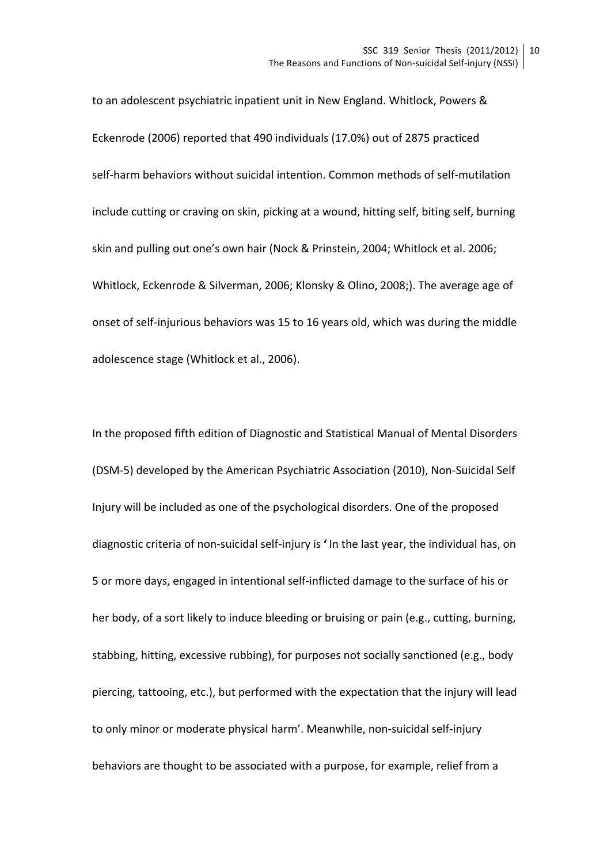to an adolescent psychiatric inpatient unit in New England. Whitlock, Powers & Eckenrode (2006) reported that 490 individuals (17.0%) out of 2875 practiced self-harm behaviors without suicidal intention. Common methods of self-mutilation include cutting or craving on skin, picking at a wound, hitting self, biting self, burning skin and pulling out one's own hair (Nock & Prinstein, 2004; Whitlock et al. 2006; Whitlock, Eckenrode & Silverman, 2006; Klonsky & Olino, 2008;). The average age of onset of self-injurious behaviors was 15 to 16 years old, which was during the middle adolescence stage (Whitlock et al., 2006).

In the proposed fifth edition of Diagnostic and Statistical Manual of Mental Disorders (DSM-5) developed by the American Psychiatric Association (2010), Non-Suicidal Self Injury will be included as one of the psychological disorders. One of the proposed diagnostic criteria of non-suicidal self-injury is ' In the last year, the individual has, on 5 or more days, engaged in intentional self-inflicted damage to the surface of his or her body, of a sort likely to induce bleeding or bruising or pain (e.g., cutting, burning, stabbing, hitting, excessive rubbing), for purposes not socially sanctioned (e.g., body piercing, tattooing, etc.), but performed with the expectation that the injury will lead to only minor or moderate physical harm'. Meanwhile, non-suicidal self-injury behaviors are thought to be associated with a purpose, for example, relief from a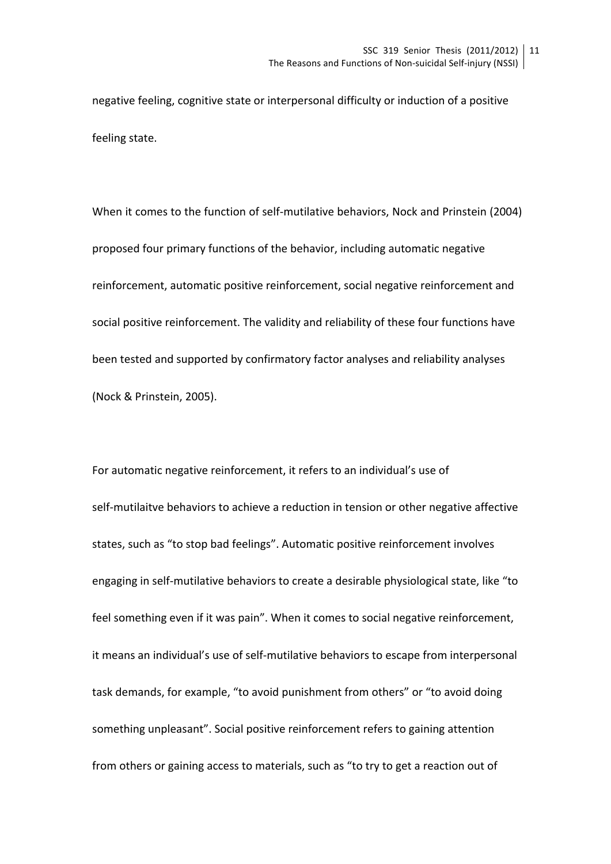negative feeling, cognitive state or interpersonal difficulty or induction of a positive feeling state.

When it comes to the function of self-mutilative behaviors. Nock and Prinstein (2004) proposed four primary functions of the behavior, including automatic negative reinforcement, automatic positive reinforcement, social negative reinforcement and social positive reinforcement. The validity and reliability of these four functions have been tested and supported by confirmatory factor analyses and reliability analyses (Nock & Prinstein, 2005).

For automatic negative reinforcement, it refers to an individual's use of self-mutilaitve behaviors to achieve a reduction in tension or other negative affective states, such as "to stop bad feelings". Automatic positive reinforcement involves engaging in self-mutilative behaviors to create a desirable physiological state, like "to feel something even if it was pain". When it comes to social negative reinforcement, it means an individual's use of self-mutilative behaviors to escape from interpersonal task demands, for example, "to avoid punishment from others" or "to avoid doing something unpleasant". Social positive reinforcement refers to gaining attention from others or gaining access to materials, such as "to try to get a reaction out of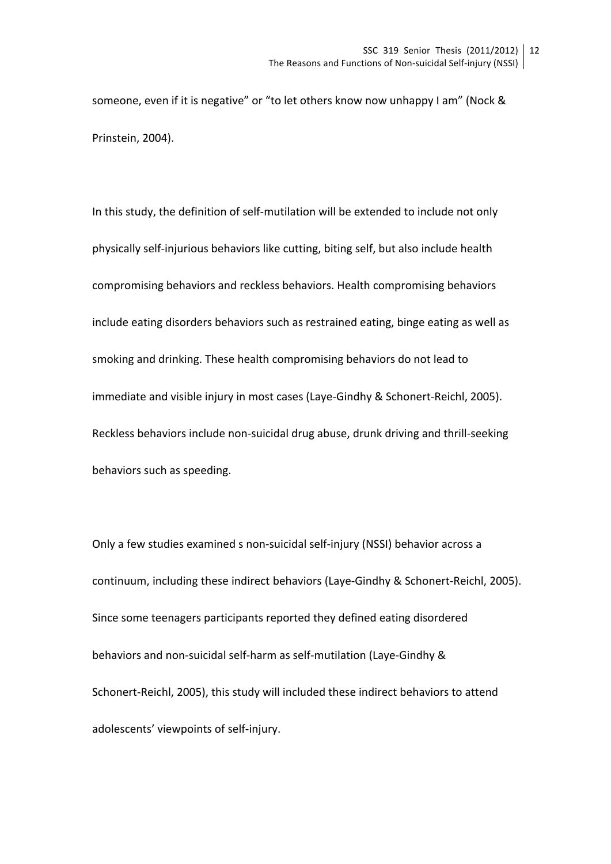someone, even if it is negative" or "to let others know now unhappy I am" (Nock & Prinstein, 2004).

In this study, the definition of self-mutilation will be extended to include not only physically self-injurious behaviors like cutting, biting self, but also include health compromising behaviors and reckless behaviors. Health compromising behaviors include eating disorders behaviors such as restrained eating, binge eating as well as smoking and drinking. These health compromising behaviors do not lead to immediate and visible injury in most cases (Laye-Gindhy & Schonert-Reichl, 2005). Reckless behaviors include non-suicidal drug abuse, drunk driving and thrill-seeking behaviors such as speeding.

Only a few studies examined s non-suicidal self-injury (NSSI) behavior across a continuum, including these indirect behaviors (Laye-Gindhy & Schonert-Reichl, 2005). Since some teenagers participants reported they defined eating disordered behaviors and non-suicidal self-harm as self-mutilation (Laye-Gindhy & Schonert-Reichl, 2005), this study will included these indirect behaviors to attend adolescents' viewpoints of self-injury.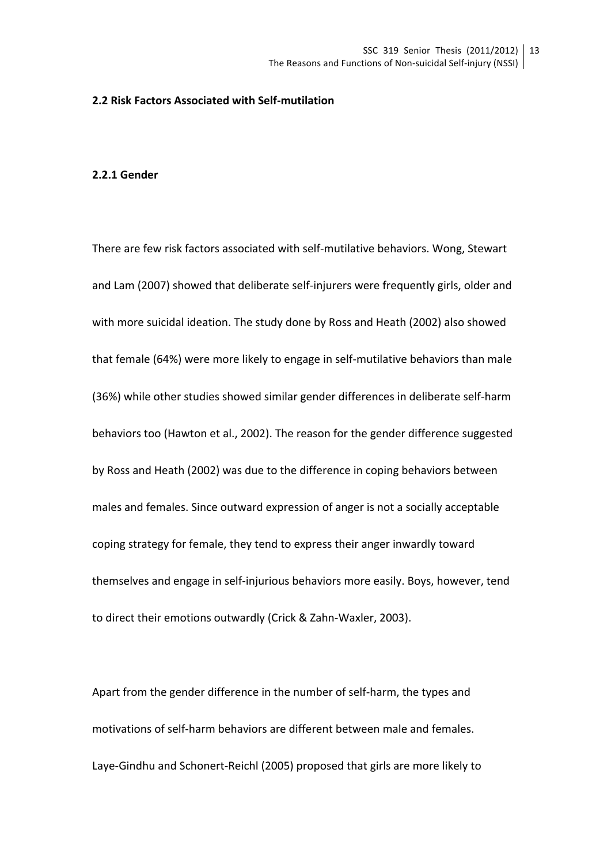#### **2.2 Risk Factors Associated with Self-mutilation**

#### **2.2.1 Gender**

There are few risk factors associated with self-mutilative behaviors. Wong, Stewart and Lam (2007) showed that deliberate self-injurers were frequently girls, older and with more suicidal ideation. The study done by Ross and Heath (2002) also showed that female (64%) were more likely to engage in self-mutilative behaviors than male (36%) while other studies showed similar gender differences in deliberate self-harm behaviors too (Hawton et al., 2002). The reason for the gender difference suggested by Ross and Heath (2002) was due to the difference in coping behaviors between males and females. Since outward expression of anger is not a socially acceptable coping strategy for female, they tend to express their anger inwardly toward themselves and engage in self-injurious behaviors more easily. Boys, however, tend to direct their emotions outwardly (Crick & Zahn-Waxler, 2003).

Apart from the gender difference in the number of self-harm, the types and motivations of self-harm behaviors are different between male and females. Laye-Gindhu and Schonert-Reichl (2005) proposed that girls are more likely to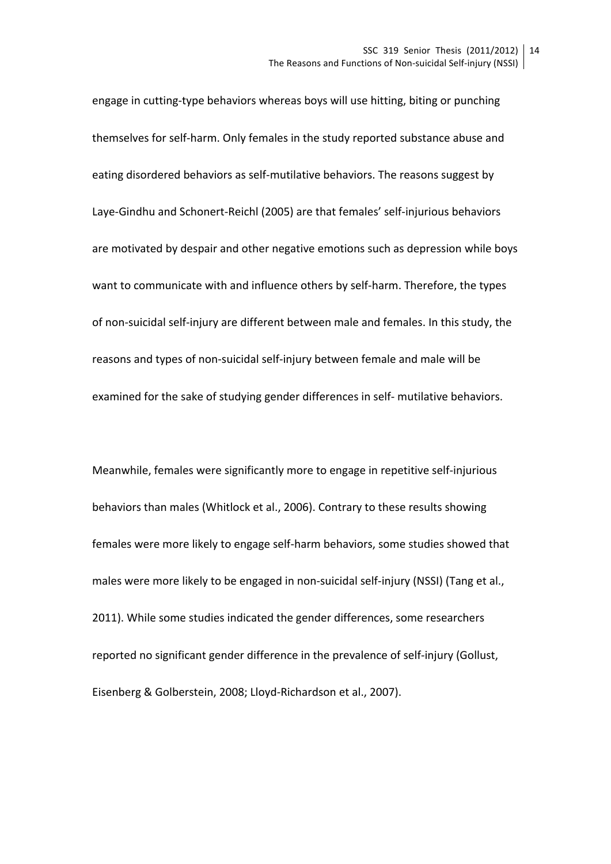engage in cutting-type behaviors whereas boys will use hitting, biting or punching themselves for self-harm. Only females in the study reported substance abuse and eating disordered behaviors as self-mutilative behaviors. The reasons suggest by Laye-Gindhu and Schonert-Reichl (2005) are that females' self-injurious behaviors are motivated by despair and other negative emotions such as depression while boys want to communicate with and influence others by self-harm. Therefore, the types of non-suicidal self-injury are different between male and females. In this study, the reasons and types of non-suicidal self-injury between female and male will be examined for the sake of studying gender differences in self- mutilative behaviors.

Meanwhile, females were significantly more to engage in repetitive self-injurious behaviors than males (Whitlock et al., 2006). Contrary to these results showing females were more likely to engage self-harm behaviors, some studies showed that males were more likely to be engaged in non-suicidal self-injury (NSSI) (Tang et al., 2011). While some studies indicated the gender differences, some researchers reported no significant gender difference in the prevalence of self-injury (Gollust, Eisenberg & Golberstein, 2008; Lloyd-Richardson et al., 2007).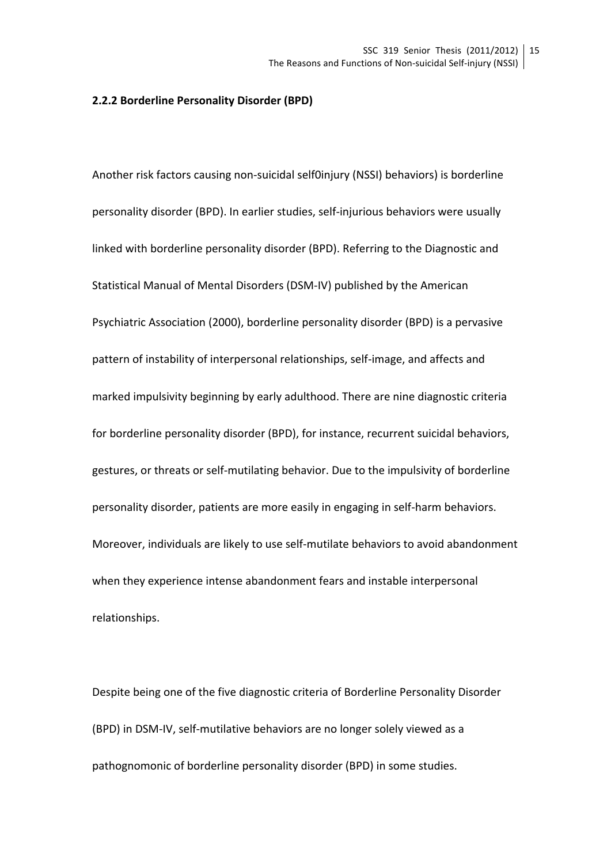#### **2.2.2 Borderline Personality Disorder (BPD)**

Another risk factors causing non-suicidal self0injury (NSSI) behaviors) is borderline personality disorder (BPD). In earlier studies, self-injurious behaviors were usually linked with borderline personality disorder (BPD). Referring to the Diagnostic and Statistical Manual of Mental Disorders (DSM-IV) published by the American Psychiatric Association (2000), borderline personality disorder (BPD) is a pervasive pattern of instability of interpersonal relationships, self-image, and affects and marked impulsivity beginning by early adulthood. There are nine diagnostic criteria for borderline personality disorder (BPD), for instance, recurrent suicidal behaviors, gestures, or threats or self-mutilating behavior. Due to the impulsivity of borderline personality disorder, patients are more easily in engaging in self-harm behaviors. Moreover, individuals are likely to use self-mutilate behaviors to avoid abandonment when they experience intense abandonment fears and instable interpersonal relationships.

Despite being one of the five diagnostic criteria of Borderline Personality Disorder (BPD) in DSM-IV, self-mutilative behaviors are no longer solely viewed as a pathognomonic of borderline personality disorder (BPD) in some studies.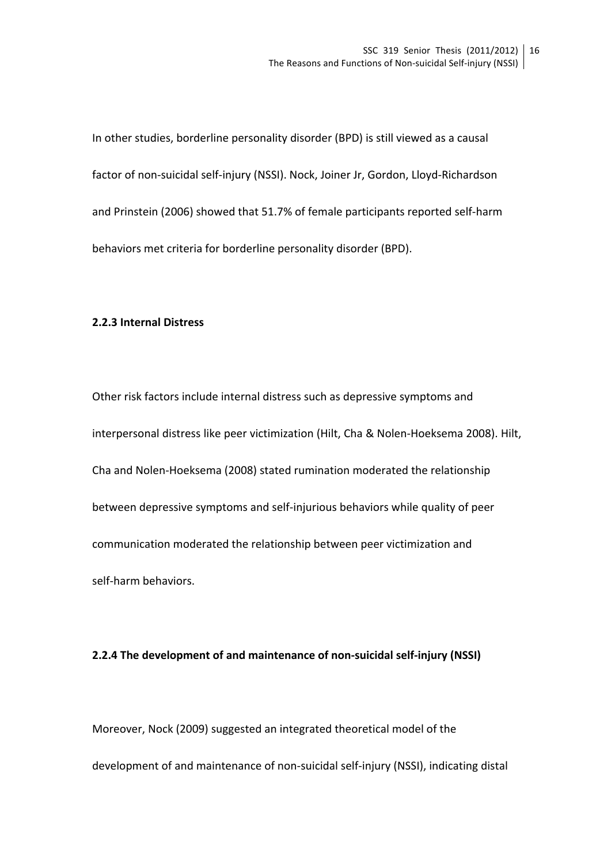In other studies, borderline personality disorder (BPD) is still viewed as a causal factor of non-suicidal self-injury (NSSI). Nock, Joiner Jr, Gordon, Lloyd-Richardson and Prinstein (2006) showed that 51.7% of female participants reported self-harm behaviors met criteria for borderline personality disorder (BPD).

#### **2.2.3 Internal Distress**

Other risk factors include internal distress such as depressive symptoms and interpersonal distress like peer victimization (Hilt, Cha & Nolen-Hoeksema 2008). Hilt, Cha and Nolen-Hoeksema (2008) stated rumination moderated the relationship between depressive symptoms and self-injurious behaviors while quality of peer communication moderated the relationship between peer victimization and self-harm behaviors.

#### **2.2.4** The development of and maintenance of non-suicidal self-injury (NSSI)

Moreover, Nock (2009) suggested an integrated theoretical model of the development of and maintenance of non-suicidal self-injury (NSSI), indicating distal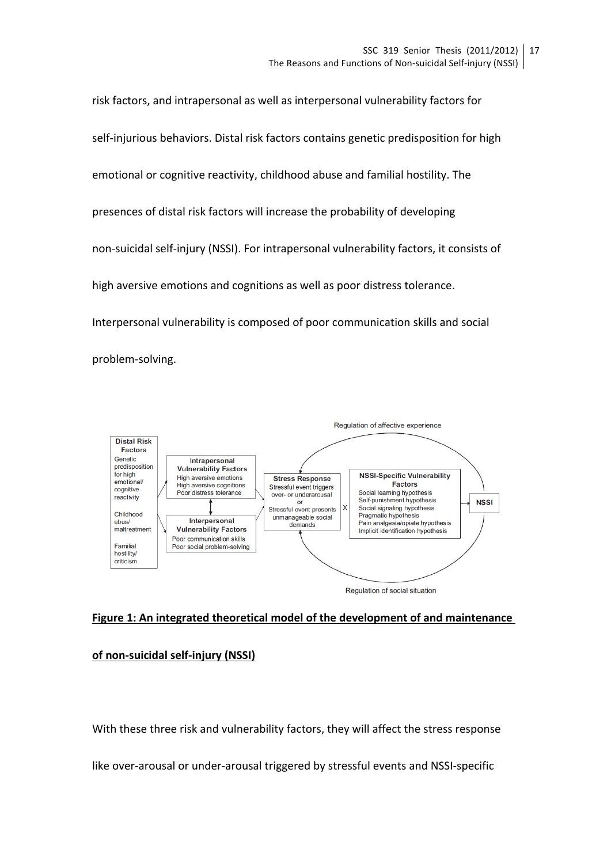risk factors, and intrapersonal as well as interpersonal vulnerability factors for self-injurious behaviors. Distal risk factors contains genetic predisposition for high emotional or cognitive reactivity, childhood abuse and familial hostility. The presences of distal risk factors will increase the probability of developing non-suicidal self-injury (NSSI). For intrapersonal vulnerability factors, it consists of high aversive emotions and cognitions as well as poor distress tolerance. Interpersonal vulnerability is composed of poor communication skills and social problem-solving. 



Regulation of social situation

### Figure 1: An integrated theoretical model of the development of and maintenance

**of non-suicidal self-injury (NSSI)** 

With these three risk and vulnerability factors, they will affect the stress response

like over-arousal or under-arousal triggered by stressful events and NSSI-specific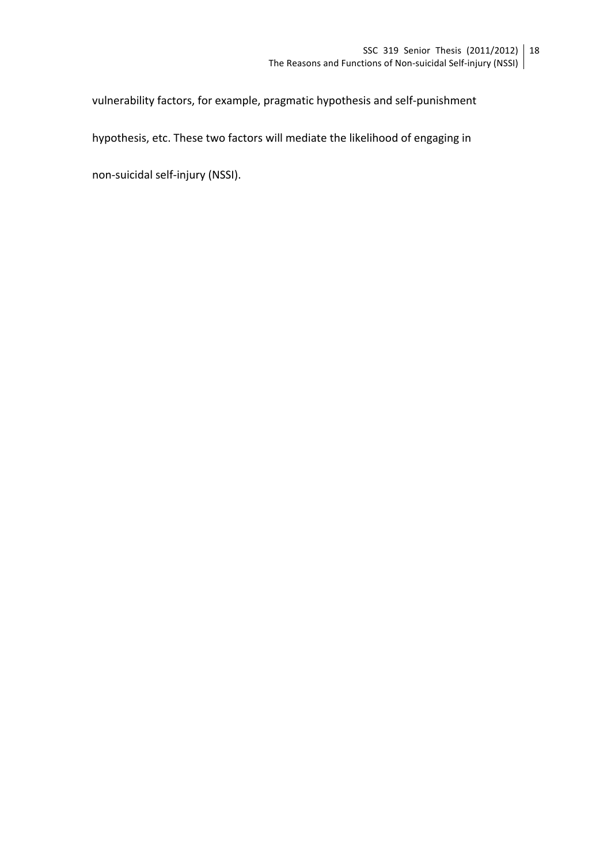vulnerability factors, for example, pragmatic hypothesis and self-punishment

hypothesis, etc. These two factors will mediate the likelihood of engaging in

non-suicidal self-injury (NSSI).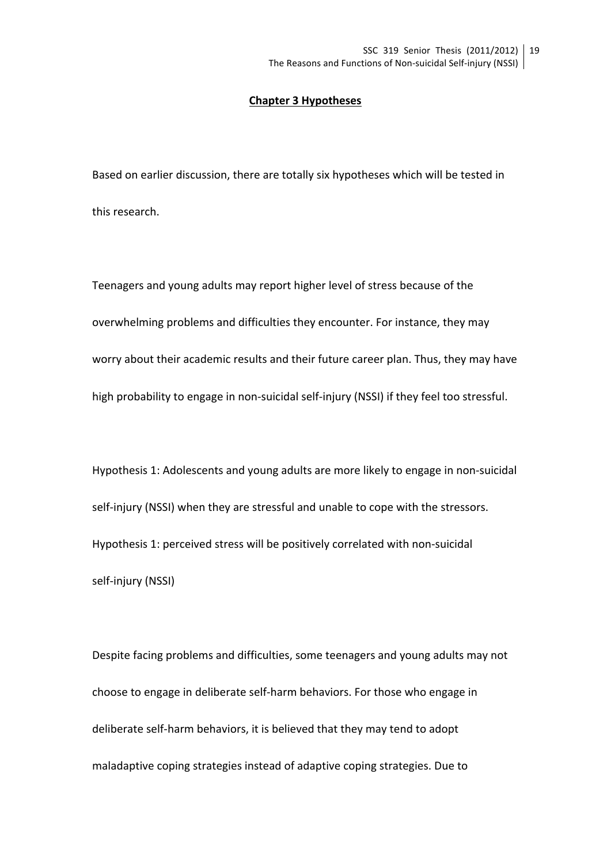#### **Chapter 3 Hypotheses**

Based on earlier discussion, there are totally six hypotheses which will be tested in this research.

Teenagers and young adults may report higher level of stress because of the overwhelming problems and difficulties they encounter. For instance, they may worry about their academic results and their future career plan. Thus, they may have high probability to engage in non-suicidal self-injury (NSSI) if they feel too stressful.

Hypothesis 1: Adolescents and young adults are more likely to engage in non-suicidal self-injury (NSSI) when they are stressful and unable to cope with the stressors. Hypothesis 1: perceived stress will be positively correlated with non-suicidal self-injury (NSSI)

Despite facing problems and difficulties, some teenagers and young adults may not choose to engage in deliberate self-harm behaviors. For those who engage in deliberate self-harm behaviors, it is believed that they may tend to adopt maladaptive coping strategies instead of adaptive coping strategies. Due to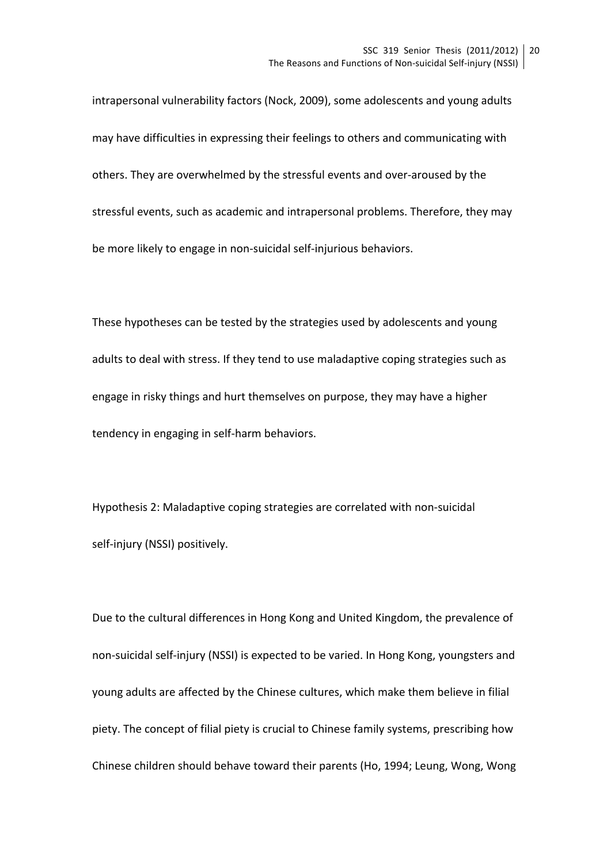intrapersonal vulnerability factors (Nock, 2009), some adolescents and young adults may have difficulties in expressing their feelings to others and communicating with others. They are overwhelmed by the stressful events and over-aroused by the stressful events, such as academic and intrapersonal problems. Therefore, they may be more likely to engage in non-suicidal self-injurious behaviors.

These hypotheses can be tested by the strategies used by adolescents and young adults to deal with stress. If they tend to use maladaptive coping strategies such as engage in risky things and hurt themselves on purpose, they may have a higher tendency in engaging in self-harm behaviors.

Hypothesis 2: Maladaptive coping strategies are correlated with non-suicidal self-injury (NSSI) positively.

Due to the cultural differences in Hong Kong and United Kingdom, the prevalence of non-suicidal self-injury (NSSI) is expected to be varied. In Hong Kong, youngsters and young adults are affected by the Chinese cultures, which make them believe in filial piety. The concept of filial piety is crucial to Chinese family systems, prescribing how Chinese children should behave toward their parents (Ho, 1994; Leung, Wong, Wong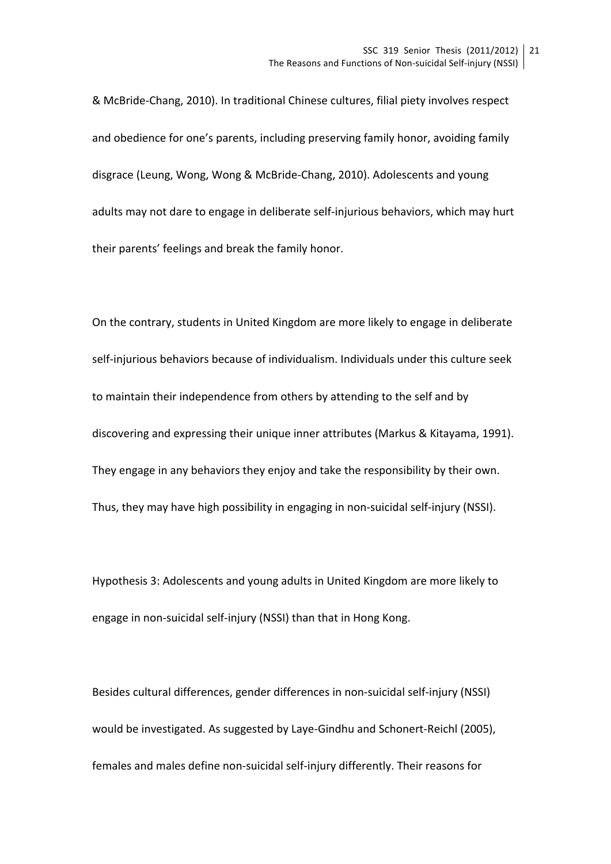& McBride-Chang, 2010). In traditional Chinese cultures, filial piety involves respect and obedience for one's parents, including preserving family honor, avoiding family disgrace (Leung, Wong, Wong & McBride-Chang, 2010). Adolescents and young adults may not dare to engage in deliberate self-injurious behaviors, which may hurt their parents' feelings and break the family honor.

On the contrary, students in United Kingdom are more likely to engage in deliberate self-injurious behaviors because of individualism. Individuals under this culture seek to maintain their independence from others by attending to the self and by discovering and expressing their unique inner attributes (Markus & Kitayama, 1991). They engage in any behaviors they enjoy and take the responsibility by their own. Thus, they may have high possibility in engaging in non-suicidal self-injury (NSSI).

Hypothesis 3: Adolescents and young adults in United Kingdom are more likely to engage in non-suicidal self-injury (NSSI) than that in Hong Kong.

Besides cultural differences, gender differences in non-suicidal self-injury (NSSI) would be investigated. As suggested by Laye-Gindhu and Schonert-Reichl (2005), females and males define non-suicidal self-injury differently. Their reasons for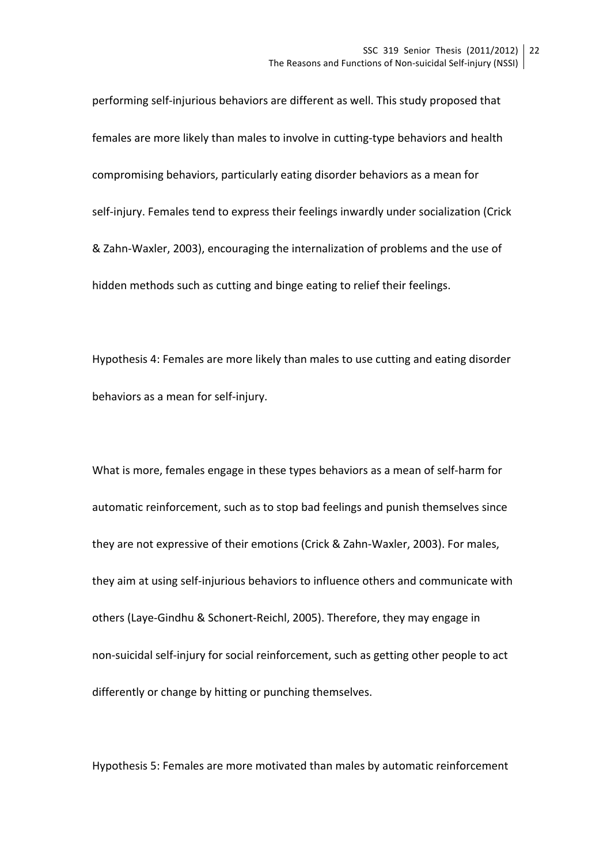performing self-injurious behaviors are different as well. This study proposed that females are more likely than males to involve in cutting-type behaviors and health compromising behaviors, particularly eating disorder behaviors as a mean for self-injury. Females tend to express their feelings inwardly under socialization (Crick & Zahn-Waxler, 2003), encouraging the internalization of problems and the use of hidden methods such as cutting and binge eating to relief their feelings.

Hypothesis 4: Females are more likely than males to use cutting and eating disorder behaviors as a mean for self-injury.

What is more, females engage in these types behaviors as a mean of self-harm for automatic reinforcement, such as to stop bad feelings and punish themselves since they are not expressive of their emotions (Crick & Zahn-Waxler, 2003). For males, they aim at using self-injurious behaviors to influence others and communicate with others (Laye-Gindhu & Schonert-Reichl, 2005). Therefore, they may engage in non-suicidal self-injury for social reinforcement, such as getting other people to act differently or change by hitting or punching themselves.

Hypothesis 5: Females are more motivated than males by automatic reinforcement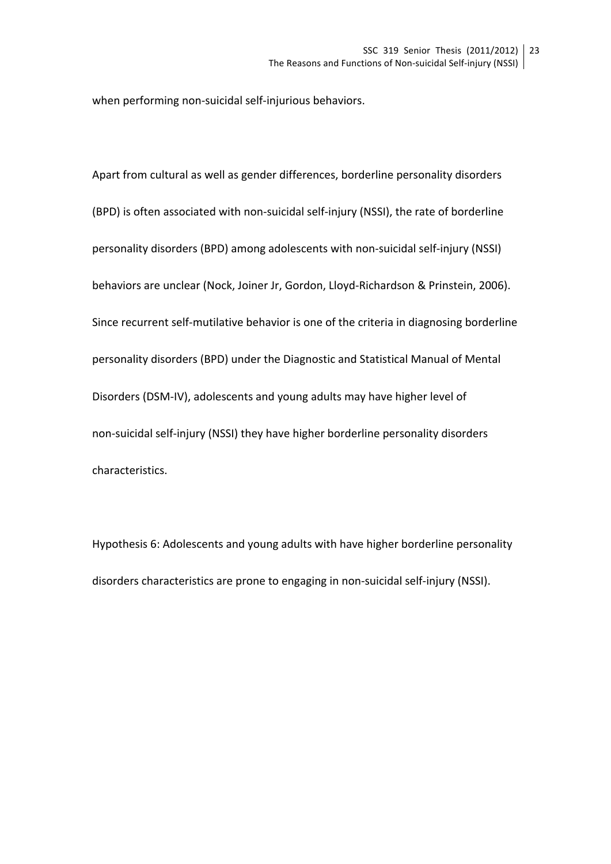when performing non-suicidal self-injurious behaviors.

Apart from cultural as well as gender differences, borderline personality disorders (BPD) is often associated with non-suicidal self-injury (NSSI), the rate of borderline personality disorders (BPD) among adolescents with non-suicidal self-injury (NSSI) behaviors are unclear (Nock, Joiner Jr, Gordon, Lloyd-Richardson & Prinstein, 2006). Since recurrent self-mutilative behavior is one of the criteria in diagnosing borderline personality disorders (BPD) under the Diagnostic and Statistical Manual of Mental Disorders (DSM-IV), adolescents and young adults may have higher level of non-suicidal self-injury (NSSI) they have higher borderline personality disorders characteristics.

Hypothesis 6: Adolescents and young adults with have higher borderline personality disorders characteristics are prone to engaging in non-suicidal self-injury (NSSI).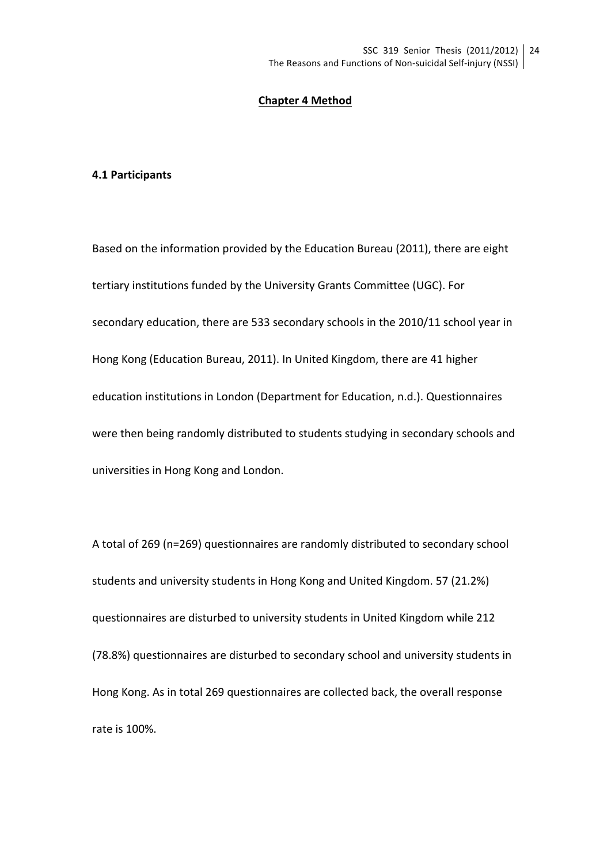#### **Chapter 4 Method**

#### **4.1 Participants**

Based on the information provided by the Education Bureau (2011), there are eight tertiary institutions funded by the University Grants Committee (UGC). For secondary education, there are 533 secondary schools in the 2010/11 school year in Hong Kong (Education Bureau, 2011). In United Kingdom, there are 41 higher education institutions in London (Department for Education, n.d.). Questionnaires were then being randomly distributed to students studying in secondary schools and universities in Hong Kong and London.

A total of 269 (n=269) questionnaires are randomly distributed to secondary school students and university students in Hong Kong and United Kingdom. 57 (21.2%) questionnaires are disturbed to university students in United Kingdom while 212 (78.8%) questionnaires are disturbed to secondary school and university students in Hong Kong. As in total 269 questionnaires are collected back, the overall response rate is 100%.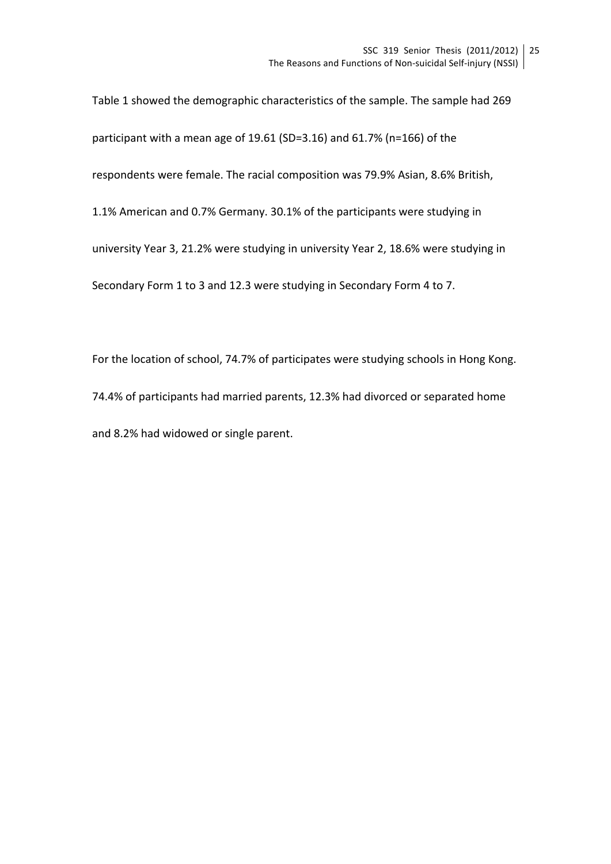Table 1 showed the demographic characteristics of the sample. The sample had 269 participant with a mean age of 19.61 (SD=3.16) and 61.7% (n=166) of the respondents were female. The racial composition was 79.9% Asian, 8.6% British, 1.1% American and 0.7% Germany. 30.1% of the participants were studying in university Year 3, 21.2% were studying in university Year 2, 18.6% were studying in Secondary Form 1 to 3 and 12.3 were studying in Secondary Form 4 to 7.

For the location of school, 74.7% of participates were studying schools in Hong Kong. 74.4% of participants had married parents, 12.3% had divorced or separated home and 8.2% had widowed or single parent.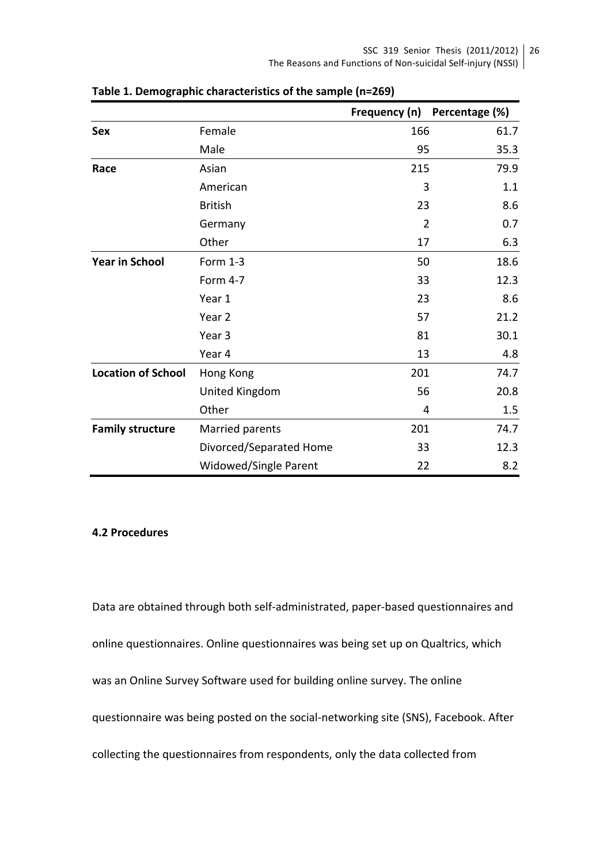|                           |                         |                | Frequency (n) Percentage (%) |
|---------------------------|-------------------------|----------------|------------------------------|
| <b>Sex</b>                | Female                  | 166            | 61.7                         |
|                           | Male                    | 95             | 35.3                         |
| Race                      | Asian                   | 215            | 79.9                         |
|                           | American                | 3              | 1.1                          |
|                           | <b>British</b>          | 23             | 8.6                          |
|                           | Germany                 | $\overline{2}$ | 0.7                          |
|                           | Other                   | 17             | 6.3                          |
| <b>Year in School</b>     | Form 1-3                | 50             | 18.6                         |
|                           | Form 4-7                | 33             | 12.3                         |
|                           | Year 1                  | 23             | 8.6                          |
|                           | Year <sub>2</sub>       | 57             | 21.2                         |
|                           | Year 3                  | 81             | 30.1                         |
|                           | Year 4                  | 13             | 4.8                          |
| <b>Location of School</b> | Hong Kong               | 201            | 74.7                         |
|                           | United Kingdom          | 56             | 20.8                         |
|                           | Other                   | 4              | 1.5                          |
| <b>Family structure</b>   | Married parents         | 201            | 74.7                         |
|                           | Divorced/Separated Home | 33             | 12.3                         |
|                           | Widowed/Single Parent   | 22             | 8.2                          |

**Table 1. Demographic characteristics of the sample (n=269)** 

# **4.2 Procedures**

Data are obtained through both self-administrated, paper-based questionnaires and online questionnaires. Online questionnaires was being set up on Qualtrics, which was an Online Survey Software used for building online survey. The online questionnaire was being posted on the social-networking site (SNS), Facebook. After collecting the questionnaires from respondents, only the data collected from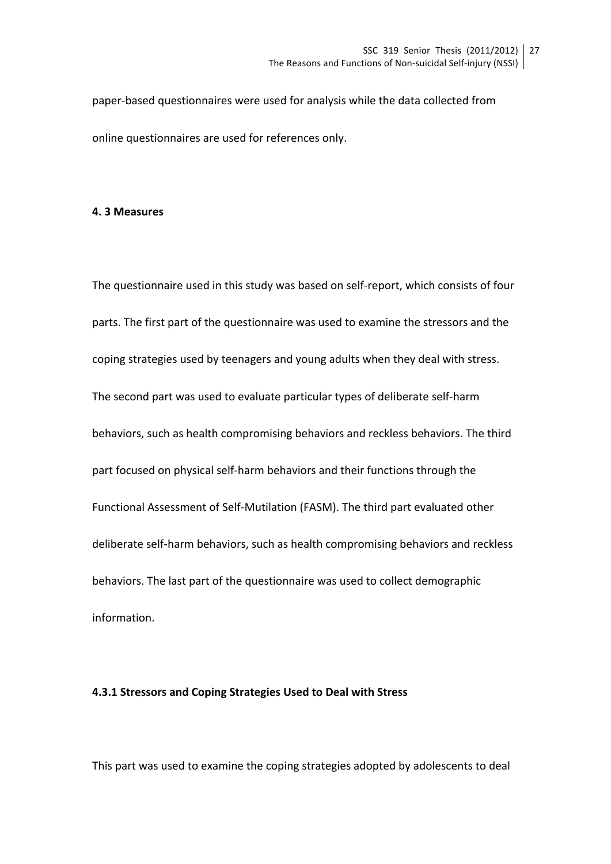paper-based questionnaires were used for analysis while the data collected from online questionnaires are used for references only.

#### **4. 3 Measures**

The questionnaire used in this study was based on self-report, which consists of four parts. The first part of the questionnaire was used to examine the stressors and the coping strategies used by teenagers and young adults when they deal with stress. The second part was used to evaluate particular types of deliberate self-harm behaviors, such as health compromising behaviors and reckless behaviors. The third part focused on physical self-harm behaviors and their functions through the Functional Assessment of Self-Mutilation (FASM). The third part evaluated other deliberate self-harm behaviors, such as health compromising behaviors and reckless behaviors. The last part of the questionnaire was used to collect demographic information. 

#### **4.3.1 Stressors and Coping Strategies Used to Deal with Stress**

This part was used to examine the coping strategies adopted by adolescents to deal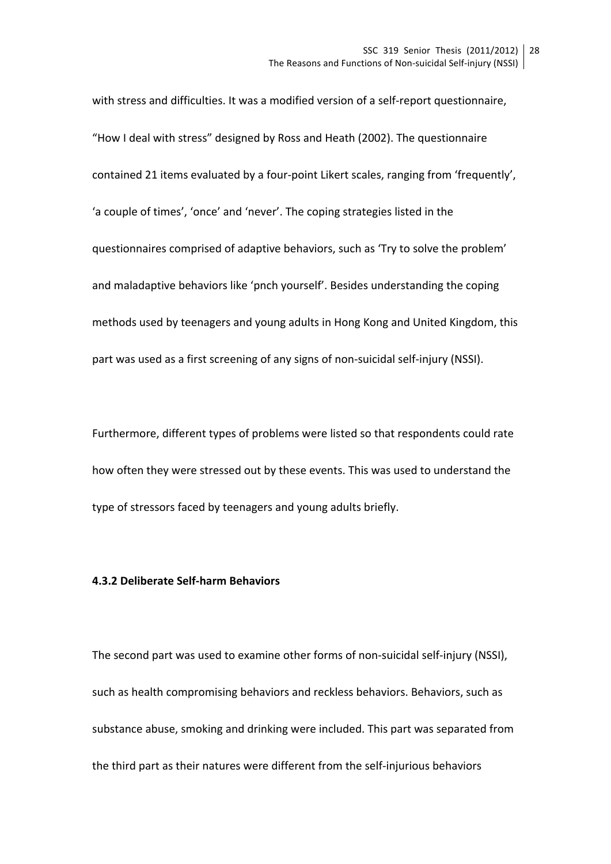with stress and difficulties. It was a modified version of a self-report questionnaire, "How I deal with stress" designed by Ross and Heath (2002). The questionnaire contained 21 items evaluated by a four-point Likert scales, ranging from 'frequently', 'a couple of times', 'once' and 'never'. The coping strategies listed in the questionnaires comprised of adaptive behaviors, such as 'Try to solve the problem' and maladaptive behaviors like 'pnch yourself'. Besides understanding the coping methods used by teenagers and young adults in Hong Kong and United Kingdom, this part was used as a first screening of any signs of non-suicidal self-injury (NSSI).

Furthermore, different types of problems were listed so that respondents could rate how often they were stressed out by these events. This was used to understand the type of stressors faced by teenagers and young adults briefly.

# **4.3.2 Deliberate Self-harm Behaviors**

The second part was used to examine other forms of non-suicidal self-injury (NSSI), such as health compromising behaviors and reckless behaviors. Behaviors, such as substance abuse, smoking and drinking were included. This part was separated from the third part as their natures were different from the self-injurious behaviors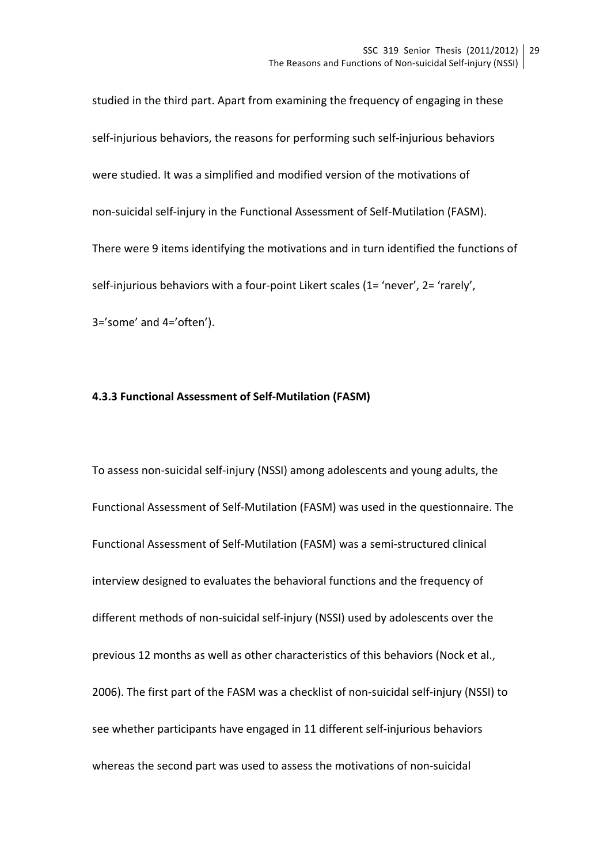studied in the third part. Apart from examining the frequency of engaging in these self-injurious behaviors, the reasons for performing such self-injurious behaviors were studied. It was a simplified and modified version of the motivations of non-suicidal self-injury in the Functional Assessment of Self-Mutilation (FASM). There were 9 items identifying the motivations and in turn identified the functions of self-injurious behaviors with a four-point Likert scales (1= 'never', 2= 'rarely', 3='some' and 4='often'). 

### **4.3.3 Functional Assessment of Self-Mutilation (FASM)**

To assess non-suicidal self-injury (NSSI) among adolescents and young adults, the Functional Assessment of Self-Mutilation (FASM) was used in the questionnaire. The Functional Assessment of Self-Mutilation (FASM) was a semi-structured clinical interview designed to evaluates the behavioral functions and the frequency of different methods of non-suicidal self-injury (NSSI) used by adolescents over the previous 12 months as well as other characteristics of this behaviors (Nock et al., 2006). The first part of the FASM was a checklist of non-suicidal self-injury (NSSI) to see whether participants have engaged in 11 different self-injurious behaviors whereas the second part was used to assess the motivations of non-suicidal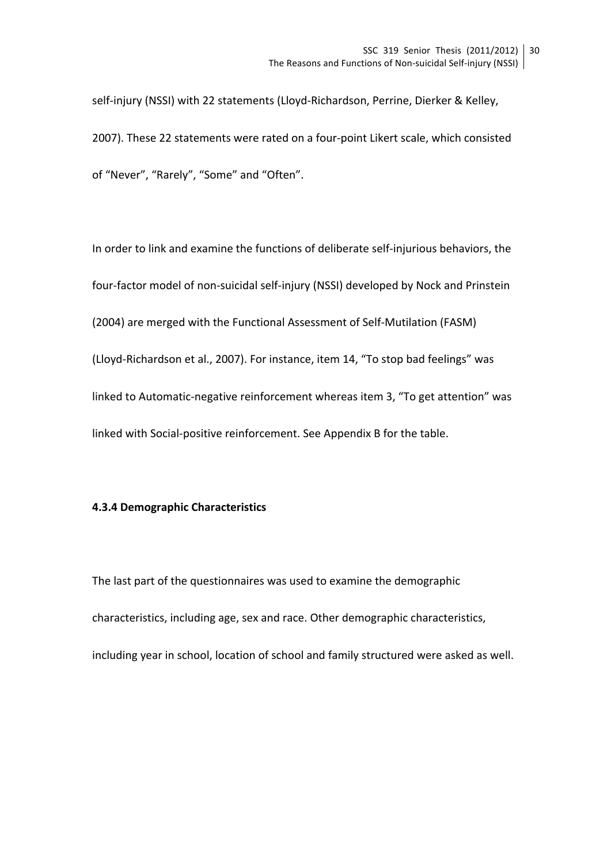self-injury (NSSI) with 22 statements (Lloyd-Richardson, Perrine, Dierker & Kelley, 2007). These 22 statements were rated on a four-point Likert scale, which consisted of "Never", "Rarely", "Some" and "Often".

In order to link and examine the functions of deliberate self-injurious behaviors, the four-factor model of non-suicidal self-injury (NSSI) developed by Nock and Prinstein (2004) are merged with the Functional Assessment of Self-Mutilation (FASM) (Lloyd-Richardson et al., 2007). For instance, item 14, "To stop bad feelings" was linked to Automatic-negative reinforcement whereas item 3, "To get attention" was linked with Social-positive reinforcement. See Appendix B for the table.

#### **4.3.4 Demographic Characteristics**

The last part of the questionnaires was used to examine the demographic characteristics, including age, sex and race. Other demographic characteristics, including year in school, location of school and family structured were asked as well.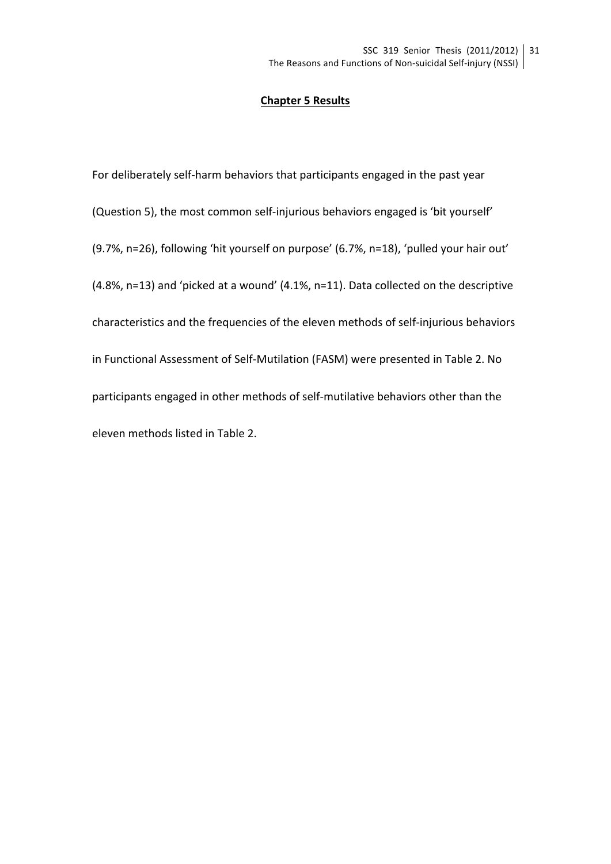#### **Chapter 5 Results**

For deliberately self-harm behaviors that participants engaged in the past year (Question 5), the most common self-injurious behaviors engaged is 'bit yourself' (9.7%, n=26), following 'hit yourself on purpose' (6.7%, n=18), 'pulled your hair out' (4.8%, n=13) and 'picked at a wound' (4.1%, n=11). Data collected on the descriptive characteristics and the frequencies of the eleven methods of self-injurious behaviors in Functional Assessment of Self-Mutilation (FASM) were presented in Table 2. No participants engaged in other methods of self-mutilative behaviors other than the eleven methods listed in Table 2.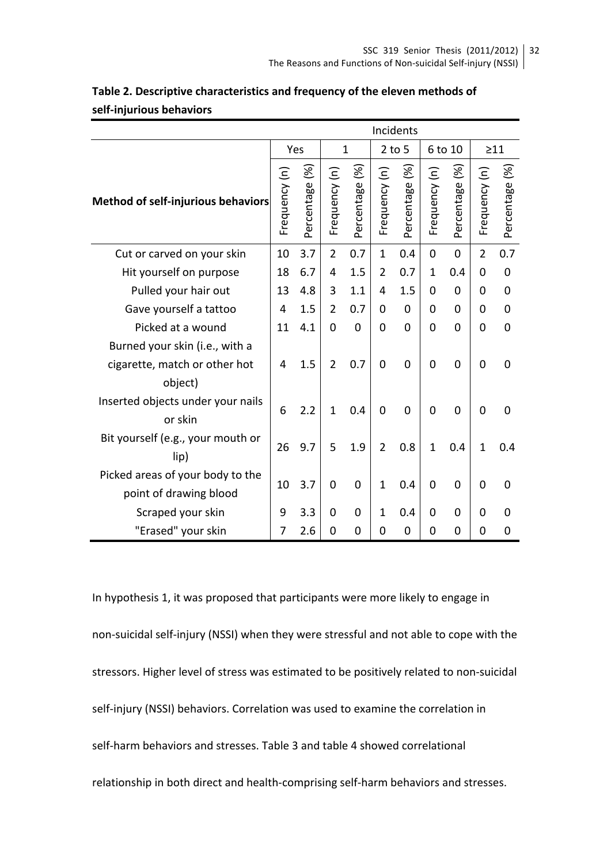|                                                            | Incidents     |                                                 |                |                                       |                |                                                  |                |                                                 |                |                |  |
|------------------------------------------------------------|---------------|-------------------------------------------------|----------------|---------------------------------------|----------------|--------------------------------------------------|----------------|-------------------------------------------------|----------------|----------------|--|
|                                                            |               | Yes                                             | $\mathbf{1}$   |                                       | $2$ to 5       |                                                  | 6 to 10        |                                                 | $\geq$ 11      |                |  |
| Method of self-injurious behaviors                         | Frequency (n) | $\mathcal{\mathcal{\mathcal{E}}}$<br>Percentage | Frequency (n)  | $\mathcal{\mathcal{E}}$<br>Percentage | Frequency (n)  | $\mathcal{\mathcal{\overline{S}}}$<br>Percentage | Frequency (n)  | $\mathcal{\mathcal{\widehat{S}}}$<br>Percentage | Frequency (n)  | Percentage (%) |  |
| Cut or carved on your skin                                 | 10            | 3.7                                             | $\overline{2}$ | 0.7                                   | $\mathbf{1}$   | 0.4                                              | 0              | 0                                               | $\overline{2}$ | 0.7            |  |
| Hit yourself on purpose                                    | 18            | 6.7                                             | 4              | 1.5                                   | $\overline{2}$ | 0.7                                              | $\mathbf{1}$   | 0.4                                             | 0              | 0              |  |
| Pulled your hair out                                       | 13            | 4.8                                             | 3              | 1.1                                   | 4              | 1.5                                              | $\Omega$       | 0                                               | 0              | 0              |  |
| Gave yourself a tattoo                                     |               | 1.5                                             | $\overline{2}$ | 0.7                                   | 0              | 0                                                | 0              | 0                                               | 0              | 0              |  |
| Picked at a wound                                          |               | 4.1                                             | $\mathbf 0$    | $\mathbf 0$                           | $\overline{0}$ | 0                                                | $\overline{0}$ | 0                                               | 0              | 0              |  |
| Burned your skin (i.e., with a                             |               |                                                 |                |                                       |                |                                                  |                |                                                 |                |                |  |
| cigarette, match or other hot                              | 4             | 1.5                                             | $\overline{2}$ | 0.7                                   | $\Omega$       | $\overline{0}$                                   | $\overline{0}$ | $\overline{0}$                                  | $\mathbf 0$    | 0              |  |
| object)                                                    |               |                                                 |                |                                       |                |                                                  |                |                                                 |                |                |  |
| Inserted objects under your nails<br>or skin               | 6             | 2.2                                             | $\mathbf{1}$   | 0.4                                   | $\Omega$       | 0                                                | $\overline{0}$ | $\overline{0}$                                  | $\mathbf 0$    | 0              |  |
| Bit yourself (e.g., your mouth or<br>lip)                  | 26            | 9.7                                             | 5              | 1.9                                   | $\overline{2}$ | 0.8                                              | $\overline{1}$ | 0.4                                             | $\mathbf 1$    | 0.4            |  |
| Picked areas of your body to the<br>point of drawing blood | 10            | 3.7                                             | $\mathbf 0$    | $\mathbf 0$                           | $\mathbf{1}$   | 0.4                                              | $\overline{0}$ | $\overline{0}$                                  | 0              | 0              |  |
| Scraped your skin                                          | 9             | 3.3                                             | 0              | 0                                     | $\mathbf{1}$   | 0.4                                              | 0              | 0                                               | 0              | 0              |  |
| "Erased" your skin                                         | 7             | 2.6                                             | $\overline{0}$ | $\mathbf 0$                           | $\overline{0}$ | 0                                                | 0              | 0                                               | $\overline{0}$ | 0              |  |

# Table 2. Descriptive characteristics and frequency of the eleven methods of **self-injurious behaviors**

In hypothesis 1, it was proposed that participants were more likely to engage in non-suicidal self-injury (NSSI) when they were stressful and not able to cope with the stressors. Higher level of stress was estimated to be positively related to non-suicidal self-injury (NSSI) behaviors. Correlation was used to examine the correlation in self-harm behaviors and stresses. Table 3 and table 4 showed correlational relationship in both direct and health-comprising self-harm behaviors and stresses.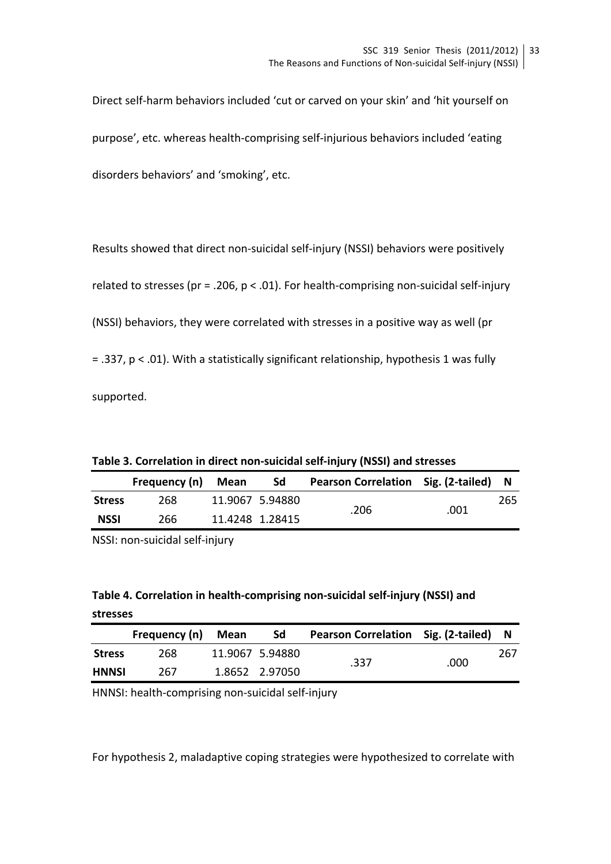Direct self-harm behaviors included 'cut or carved on your skin' and 'hit yourself on purpose', etc. whereas health-comprising self-injurious behaviors included 'eating disorders behaviors' and 'smoking', etc.

Results showed that direct non-suicidal self-injury (NSSI) behaviors were positively related to stresses (pr = .206,  $p < .01$ ). For health-comprising non-suicidal self-injury (NSSI) behaviors, they were correlated with stresses in a positive way as well (pr  $= .337$ ,  $p < .01$ ). With a statistically significant relationship, hypothesis 1 was fully supported.

Table 3. Correlation in direct non-suicidal self-injury (NSSI) and stresses

|               | Frequency (n) | Mean | Sd              | Pearson Correlation Sig. (2-tailed) |      |     |
|---------------|---------------|------|-----------------|-------------------------------------|------|-----|
| <b>Stress</b> | 268           |      | 11.9067 5.94880 |                                     |      | 265 |
| <b>NSSI</b>   | 266           |      | 11.4248 1.28415 | .206                                | .001 |     |

NSSI: non-suicidal self-injury

# Table 4. Correlation in health-comprising non-suicidal self-injury (NSSI) and **stresses**

|               | Frequency (n) | Mean | <b>Sd</b>       | Pearson Correlation Sig. (2-tailed) |      | -N  |
|---------------|---------------|------|-----------------|-------------------------------------|------|-----|
| <b>Stress</b> | 268.          |      | 11.9067 5.94880 |                                     |      | 267 |
| <b>HNNSI</b>  | 267           |      | 1.8652 2.97050  | .337                                | .000 |     |

HNNSI: health-comprising non-suicidal self-injury

For hypothesis 2, maladaptive coping strategies were hypothesized to correlate with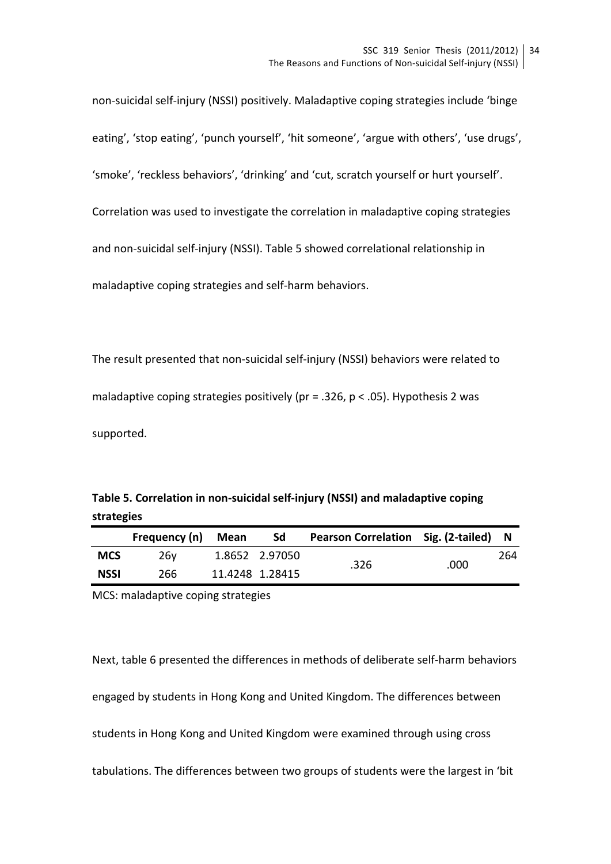non-suicidal self-injury (NSSI) positively. Maladaptive coping strategies include 'binge eating', 'stop eating', 'punch yourself', 'hit someone', 'argue with others', 'use drugs', 'smoke', 'reckless behaviors', 'drinking' and 'cut, scratch yourself or hurt yourself'. Correlation was used to investigate the correlation in maladaptive coping strategies and non-suicidal self-injury (NSSI). Table 5 showed correlational relationship in maladaptive coping strategies and self-harm behaviors.

The result presented that non-suicidal self-injury (NSSI) behaviors were related to maladaptive coping strategies positively (pr = .326, p < .05). Hypothesis 2 was supported.

| Table 5. Correlation in non-suicidal self-injury (NSSI) and maladaptive coping |  |
|--------------------------------------------------------------------------------|--|
| strategies                                                                     |  |

|             | Frequency (n) | Mean | Sd              | <b>Pearson Correlation Sig. (2-tailed)</b> |      | - N |
|-------------|---------------|------|-----------------|--------------------------------------------|------|-----|
| <b>MCS</b>  | 26v           |      | 1.8652 2.97050  |                                            |      | 264 |
| <b>NSSI</b> | 266           |      | 11.4248 1.28415 | .326                                       | .000 |     |

MCS: maladaptive coping strategies

Next, table 6 presented the differences in methods of deliberate self-harm behaviors engaged by students in Hong Kong and United Kingdom. The differences between students in Hong Kong and United Kingdom were examined through using cross tabulations. The differences between two groups of students were the largest in 'bit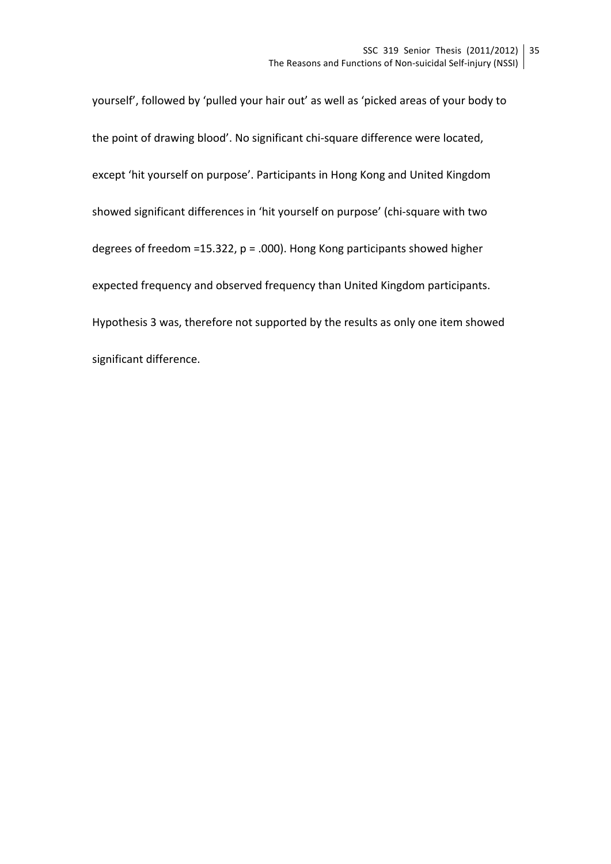yourself', followed by 'pulled your hair out' as well as 'picked areas of your body to the point of drawing blood'. No significant chi-square difference were located, except 'hit yourself on purpose'. Participants in Hong Kong and United Kingdom showed significant differences in 'hit yourself on purpose' (chi-square with two degrees of freedom =15.322,  $p = .000$ ). Hong Kong participants showed higher expected frequency and observed frequency than United Kingdom participants. Hypothesis 3 was, therefore not supported by the results as only one item showed significant difference.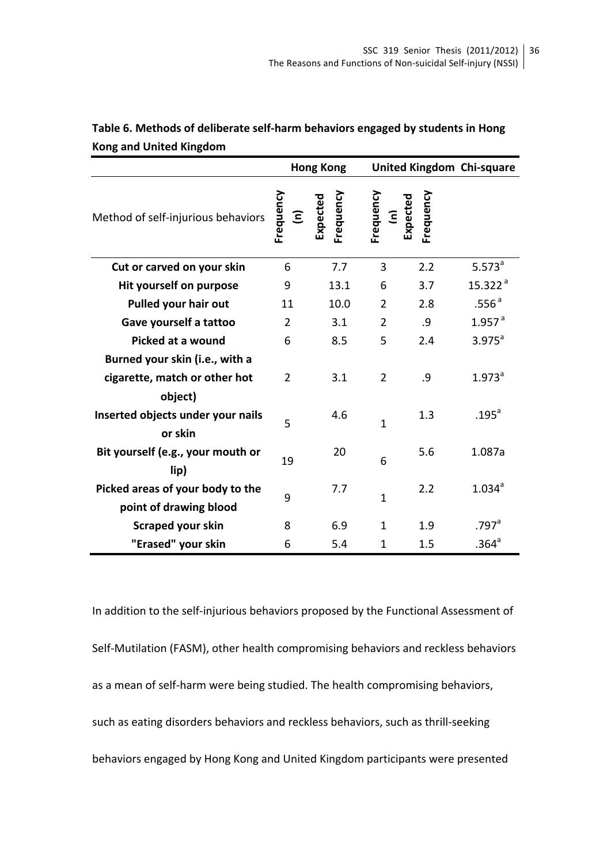|                                                            |                | <b>Hong Kong</b>      |                              |           | United Kingdom Chi-square |
|------------------------------------------------------------|----------------|-----------------------|------------------------------|-----------|---------------------------|
| Method of self-injurious behaviors                         | Frequency<br>Ξ | Frequency<br>Expected | Frequency<br>(n)<br>Expected | Frequency |                           |
| Cut or carved on your skin                                 | 6              | 7.7                   | 3                            | 2.2       | $5.573^a$                 |
| Hit yourself on purpose                                    | 9              | 13.1                  | 6                            | 3.7       | 15.322 <sup>a</sup>       |
| Pulled your hair out                                       | 11             | 10.0                  | $\overline{2}$               | 2.8       | .556 <sup>a</sup>         |
| Gave yourself a tattoo                                     | 2              | 3.1                   | $\overline{2}$               | .9        | $1.957$ <sup>a</sup>      |
| Picked at a wound                                          | 6              | 8.5                   | 5                            | 2.4       | $3.975^a$                 |
| Burned your skin (i.e., with a                             |                |                       |                              |           |                           |
| cigarette, match or other hot                              | 2              | 3.1                   | $\overline{2}$               | .9        | $1.973$ <sup>a</sup>      |
| object)                                                    |                |                       |                              |           |                           |
| Inserted objects under your nails<br>or skin               | 5              | 4.6                   | $\mathbf{1}$                 | 1.3       | .195 <sup>a</sup>         |
| Bit yourself (e.g., your mouth or<br>lip)                  | 19             | 20                    | 6                            | 5.6       | 1.087a                    |
| Picked areas of your body to the<br>point of drawing blood | 9              | 7.7                   | $\mathbf{1}$                 | 2.2       | $1.034$ <sup>a</sup>      |
| Scraped your skin                                          | 8              | 6.9                   | 1                            | 1.9       | $.797$ <sup>a</sup>       |
| "Erased" your skin                                         | 6              | 5.4                   | $\mathbf{1}$                 | 1.5       | .364 <sup>a</sup>         |

Table 6. Methods of deliberate self-harm behaviors engaged by students in Hong **Kong and United Kingdom**

In addition to the self-injurious behaviors proposed by the Functional Assessment of Self-Mutilation (FASM), other health compromising behaviors and reckless behaviors as a mean of self-harm were being studied. The health compromising behaviors, such as eating disorders behaviors and reckless behaviors, such as thrill-seeking behaviors engaged by Hong Kong and United Kingdom participants were presented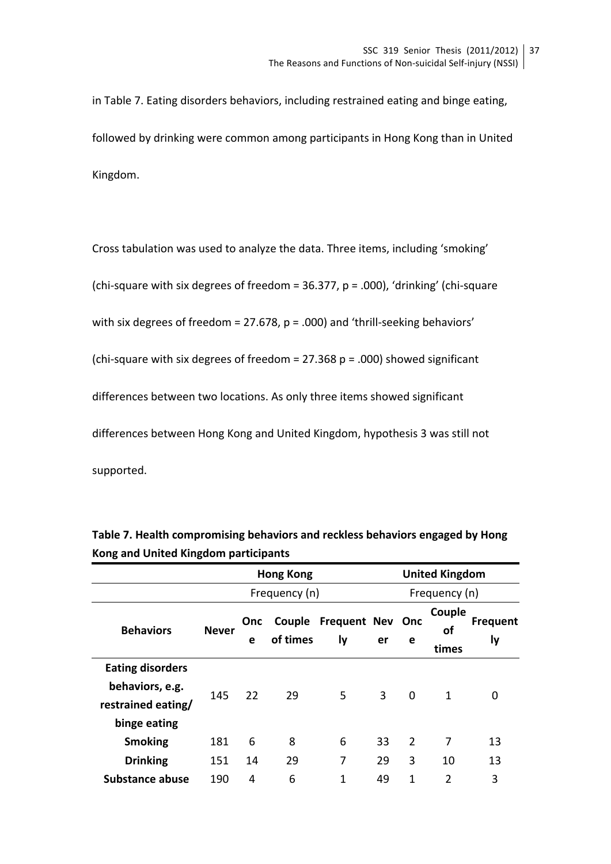in Table 7. Eating disorders behaviors, including restrained eating and binge eating, followed by drinking were common among participants in Hong Kong than in United Kingdom.

Cross tabulation was used to analyze the data. Three items, including 'smoking' (chi-square with six degrees of freedom =  $36.377$ , p = .000), 'drinking' (chi-square with six degrees of freedom = 27.678,  $p = .000$ ) and 'thrill-seeking behaviors' (chi-square with six degrees of freedom =  $27.368$  p = .000) showed significant differences between two locations. As only three items showed significant differences between Hong Kong and United Kingdom, hypothesis 3 was still not supported. 

|                         | <b>Hong Kong</b> |                 |                    |                                  |    |               | <b>United Kingdom</b> |                              |  |
|-------------------------|------------------|-----------------|--------------------|----------------------------------|----|---------------|-----------------------|------------------------------|--|
|                         |                  |                 | Frequency (n)      |                                  |    | Frequency (n) |                       |                              |  |
| <b>Behaviors</b>        | <b>Never</b>     | <b>Onc</b><br>e | Couple<br>of times | <b>Frequent Nev</b><br><b>ly</b> | er | Onc<br>e      | Couple<br>οf<br>times | <b>Frequent</b><br><b>ly</b> |  |
| <b>Eating disorders</b> |                  |                 |                    |                                  |    |               |                       |                              |  |
| behaviors, e.g.         | 145              | 22              | 29                 | 5                                | 3  | 0             | 1                     | 0                            |  |
| restrained eating/      |                  |                 |                    |                                  |    |               |                       |                              |  |
| binge eating            |                  |                 |                    |                                  |    |               |                       |                              |  |
| <b>Smoking</b>          | 181              | 6               | 8                  | 6                                | 33 | 2             | 7                     | 13                           |  |
| <b>Drinking</b>         | 151              | 14              | 29                 | 7                                | 29 | 3             | 10                    | 13                           |  |
| <b>Substance abuse</b>  | 190              | 4               | 6                  | $\mathbf{1}$                     | 49 | 1             | 2                     | 3                            |  |

| Table 7. Health compromising behaviors and reckless behaviors engaged by Hong |  |
|-------------------------------------------------------------------------------|--|
| Kong and United Kingdom participants                                          |  |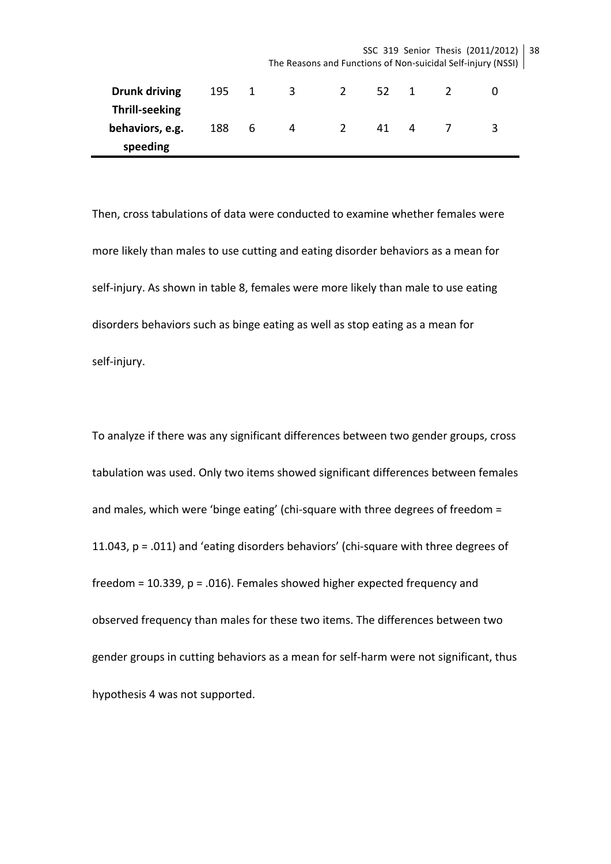SSC 319 Senior Thesis (2011/2012) | 38 The Reasons and Functions of Non-suicidal Self-injury (NSSI)

| <b>Drunk driving</b>  | 195 | 1  | 3 | 52 | 1 |   |
|-----------------------|-----|----|---|----|---|---|
| <b>Thrill-seeking</b> |     |    |   |    |   |   |
| behaviors, e.g.       | 188 | -6 | 4 | 41 | 4 | ર |
| speeding              |     |    |   |    |   |   |

Then, cross tabulations of data were conducted to examine whether females were more likely than males to use cutting and eating disorder behaviors as a mean for self-injury. As shown in table 8, females were more likely than male to use eating disorders behaviors such as binge eating as well as stop eating as a mean for self-injury. 

To analyze if there was any significant differences between two gender groups, cross tabulation was used. Only two items showed significant differences between females and males, which were 'binge eating' (chi-square with three degrees of freedom  $=$ 11.043,  $p = .011$ ) and 'eating disorders behaviors' (chi-square with three degrees of freedom =  $10.339$ ,  $p = .016$ ). Females showed higher expected frequency and observed frequency than males for these two items. The differences between two gender groups in cutting behaviors as a mean for self-harm were not significant, thus hypothesis 4 was not supported.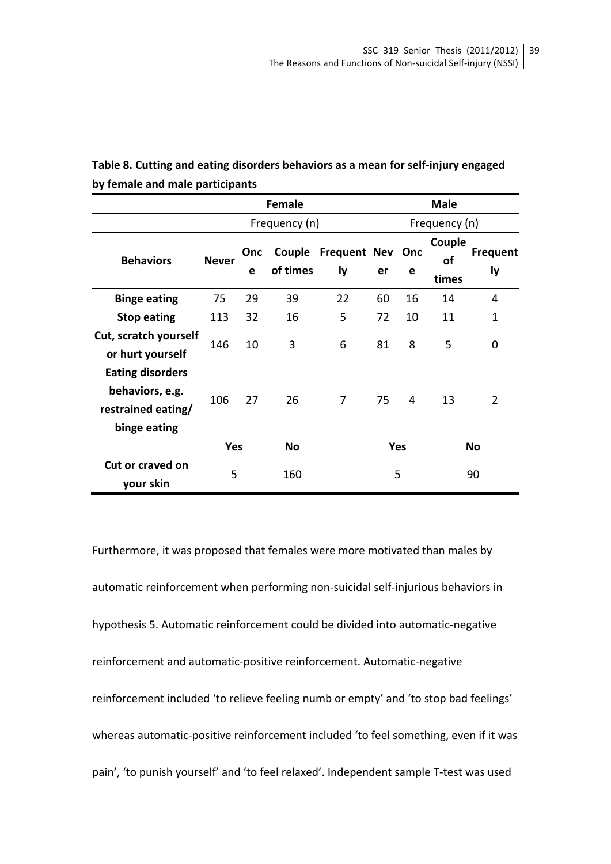|                                                                                  | <b>Female</b> |          |                    |                               | <b>Male</b> |    |                       |                              |
|----------------------------------------------------------------------------------|---------------|----------|--------------------|-------------------------------|-------------|----|-----------------------|------------------------------|
|                                                                                  |               |          | Frequency (n)      |                               |             |    | Frequency (n)         |                              |
| <b>Behaviors</b>                                                                 | <b>Never</b>  | Onc<br>e | Couple<br>of times | <b>Frequent Nev Onc</b><br>ly | er          | e  | Couple<br>of<br>times | <b>Frequent</b><br><b>ly</b> |
| <b>Binge eating</b>                                                              | 75            | 29       | 39                 | 22                            | 60          | 16 | 14                    | 4                            |
| <b>Stop eating</b>                                                               | 113           | 32       | 16                 | 5                             | 72          | 10 | 11                    | $\mathbf{1}$                 |
| Cut, scratch yourself<br>or hurt yourself                                        | 146           | 10       | 3                  | 6                             | 81          | 8  | 5                     | 0                            |
| <b>Eating disorders</b><br>behaviors, e.g.<br>restrained eating/<br>binge eating | 106           | 27       | 26                 | 7                             | 75          | 4  | 13                    | 2                            |
|                                                                                  | <b>Yes</b>    |          | <b>No</b>          |                               | <b>Yes</b>  |    |                       | <b>No</b>                    |
| <b>Cut or craved on</b><br>your skin                                             | 5             |          | 160                |                               | 5           |    |                       | 90                           |

# Table 8. Cutting and eating disorders behaviors as a mean for self-injury engaged by female and male participants

Furthermore, it was proposed that females were more motivated than males by automatic reinforcement when performing non-suicidal self-injurious behaviors in hypothesis 5. Automatic reinforcement could be divided into automatic-negative reinforcement and automatic-positive reinforcement. Automatic-negative reinforcement included 'to relieve feeling numb or empty' and 'to stop bad feelings' whereas automatic-positive reinforcement included 'to feel something, even if it was pain', 'to punish yourself' and 'to feel relaxed'. Independent sample T-test was used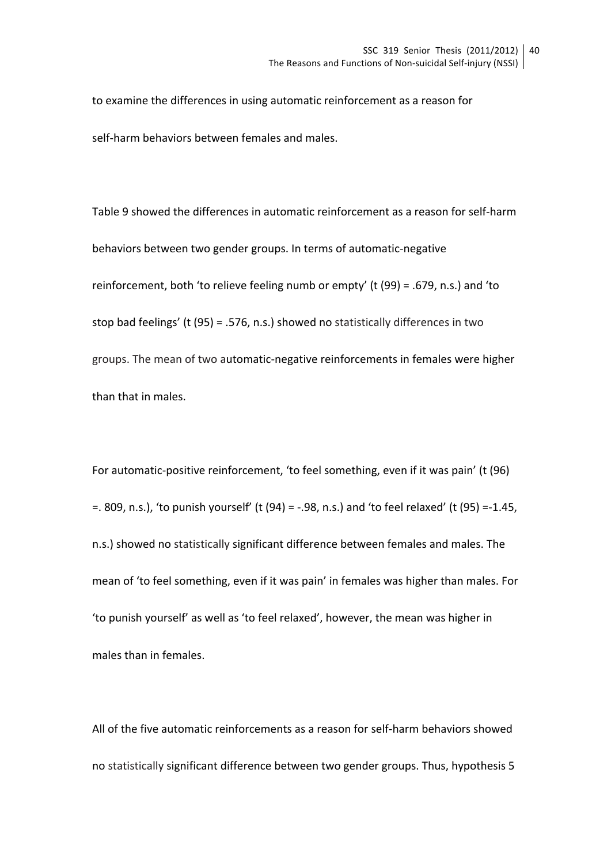to examine the differences in using automatic reinforcement as a reason for self-harm behaviors between females and males.

Table 9 showed the differences in automatic reinforcement as a reason for self-harm behaviors between two gender groups. In terms of automatic-negative reinforcement, both 'to relieve feeling numb or empty' (t (99) = .679, n.s.) and 'to stop bad feelings' (t (95) = .576, n.s.) showed no statistically differences in two groups. The mean of two automatic-negative reinforcements in females were higher than that in males.

For automatic-positive reinforcement, 'to feel something, even if it was pain' (t (96)  $=$ . 809, n.s.), 'to punish yourself' (t (94) = -.98, n.s.) and 'to feel relaxed' (t (95) =-1.45, n.s.) showed no statistically significant difference between females and males. The mean of 'to feel something, even if it was pain' in females was higher than males. For 'to punish yourself' as well as 'to feel relaxed', however, the mean was higher in males than in females.

All of the five automatic reinforcements as a reason for self-harm behaviors showed no statistically significant difference between two gender groups. Thus, hypothesis 5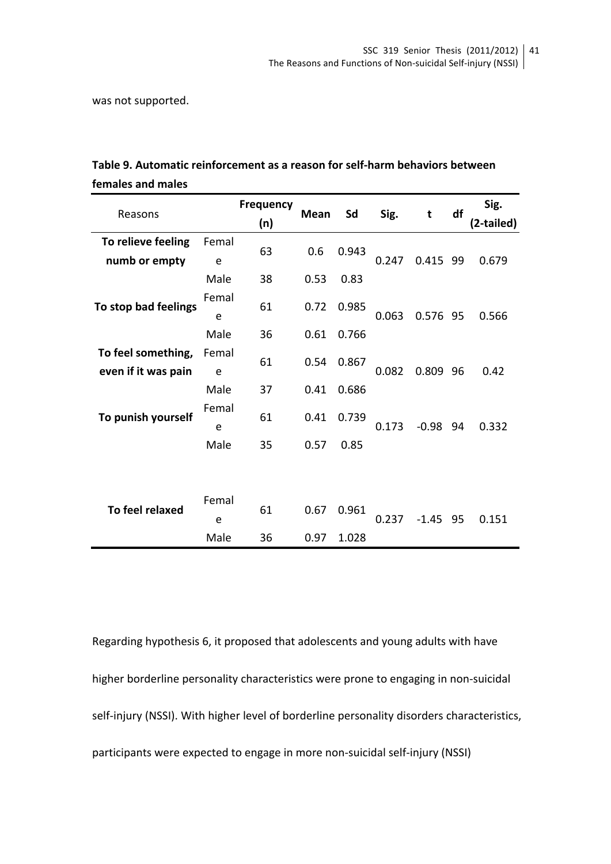was not supported.

| Reasons                                   |            | <b>Frequency</b><br>(n) | Mean | Sd    | Sig.  | t          | df | Sig.<br>(2-tailed) |
|-------------------------------------------|------------|-------------------------|------|-------|-------|------------|----|--------------------|
| To relieve feeling                        | Femal      |                         |      |       |       |            |    |                    |
| numb or empty                             | e          | 63                      | 0.6  | 0.943 | 0.247 | 0.415 99   |    | 0.679              |
|                                           | Male       | 38                      | 0.53 | 0.83  |       |            |    |                    |
| To stop bad feelings                      | Femal      | 61                      | 0.72 | 0.985 |       |            |    |                    |
|                                           | e<br>Male  | 36                      | 0.61 | 0.766 | 0.063 | 0.576 95   |    | 0.566              |
| To feel something,<br>even if it was pain | Femal<br>e | 61                      | 0.54 | 0.867 | 0.082 | 0.809 96   |    | 0.42               |
|                                           | Male       | 37                      | 0.41 | 0.686 |       |            |    |                    |
| To punish yourself                        | Femal<br>e | 61                      | 0.41 | 0.739 | 0.173 | $-0.98$ 94 |    | 0.332              |
|                                           | Male       | 35                      | 0.57 | 0.85  |       |            |    |                    |
|                                           |            |                         |      |       |       |            |    |                    |
| To feel relaxed                           | Femal      | 61                      | 0.67 | 0.961 |       |            |    |                    |
|                                           | e<br>Male  | 36                      | 0.97 | 1.028 | 0.237 | $-1.45$ 95 |    | 0.151              |
|                                           |            |                         |      |       |       |            |    |                    |

| Table 9. Automatic reinforcement as a reason for self-harm behaviors between |
|------------------------------------------------------------------------------|
| females and males                                                            |

Regarding hypothesis 6, it proposed that adolescents and young adults with have higher borderline personality characteristics were prone to engaging in non-suicidal self-injury (NSSI). With higher level of borderline personality disorders characteristics, participants were expected to engage in more non-suicidal self-injury (NSSI)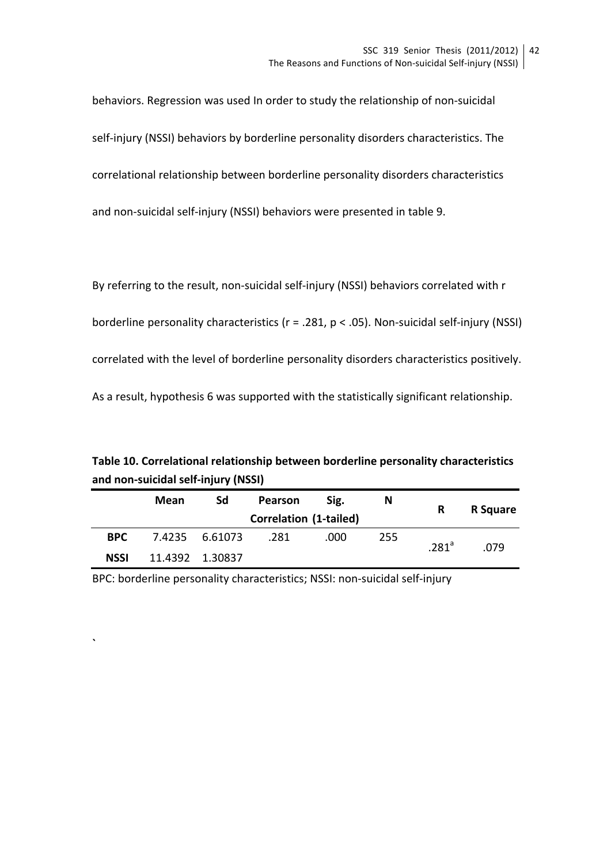behaviors. Regression was used In order to study the relationship of non-suicidal self-injury (NSSI) behaviors by borderline personality disorders characteristics. The correlational relationship between borderline personality disorders characteristics and non-suicidal self-injury (NSSI) behaviors were presented in table 9.

By referring to the result, non-suicidal self-injury (NSSI) behaviors correlated with r borderline personality characteristics  $(r = .281, p < .05)$ . Non-suicidal self-injury (NSSI) correlated with the level of borderline personality disorders characteristics positively. As a result, hypothesis 6 was supported with the statistically significant relationship.

**Table 10. Correlational relationship between borderline personality characteristics** and non-suicidal self-injury (NSSI)

|             | Mean | Sd              | Pearson                       | Sig. | N   | R                 | <b>R</b> Square |
|-------------|------|-----------------|-------------------------------|------|-----|-------------------|-----------------|
|             |      |                 | <b>Correlation (1-tailed)</b> |      |     |                   |                 |
| <b>BPC</b>  |      | 7.4235 6.61073  | .281                          | .000 | 255 | .281 <sup>a</sup> | .079            |
| <b>NSSI</b> |      | 11.4392 1.30837 |                               |      |     |                   |                 |

BPC: borderline personality characteristics; NSSI: non-suicidal self-injury

**`**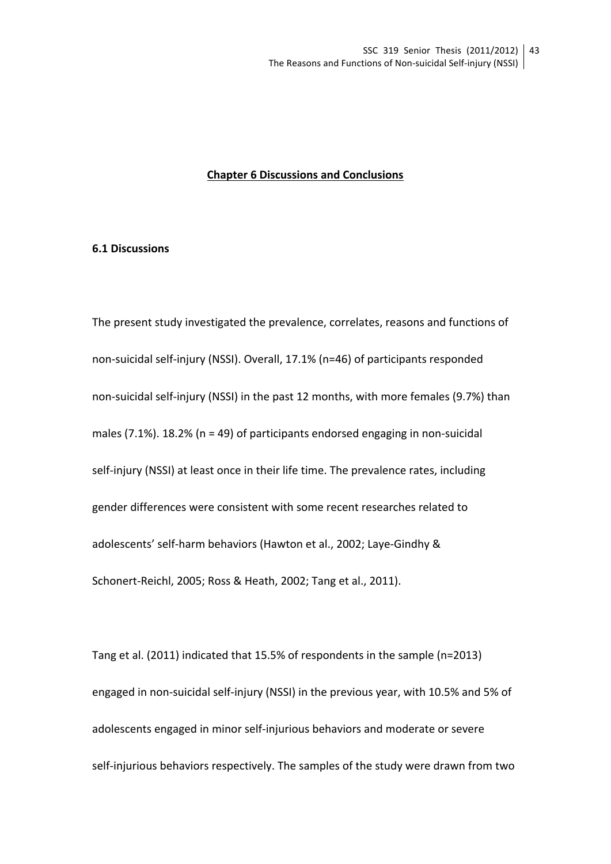### **Chapter 6 Discussions and Conclusions**

#### **6.1 Discussions**

The present study investigated the prevalence, correlates, reasons and functions of non-suicidal self-injury (NSSI). Overall, 17.1% (n=46) of participants responded non-suicidal self-injury (NSSI) in the past 12 months, with more females (9.7%) than males (7.1%). 18.2% ( $n = 49$ ) of participants endorsed engaging in non-suicidal self-injury (NSSI) at least once in their life time. The prevalence rates, including gender differences were consistent with some recent researches related to adolescents' self-harm behaviors (Hawton et al., 2002; Laye-Gindhy & Schonert-Reichl, 2005; Ross & Heath, 2002; Tang et al., 2011).

Tang et al. (2011) indicated that 15.5% of respondents in the sample (n=2013) engaged in non-suicidal self-injury (NSSI) in the previous year, with 10.5% and 5% of adolescents engaged in minor self-injurious behaviors and moderate or severe self-injurious behaviors respectively. The samples of the study were drawn from two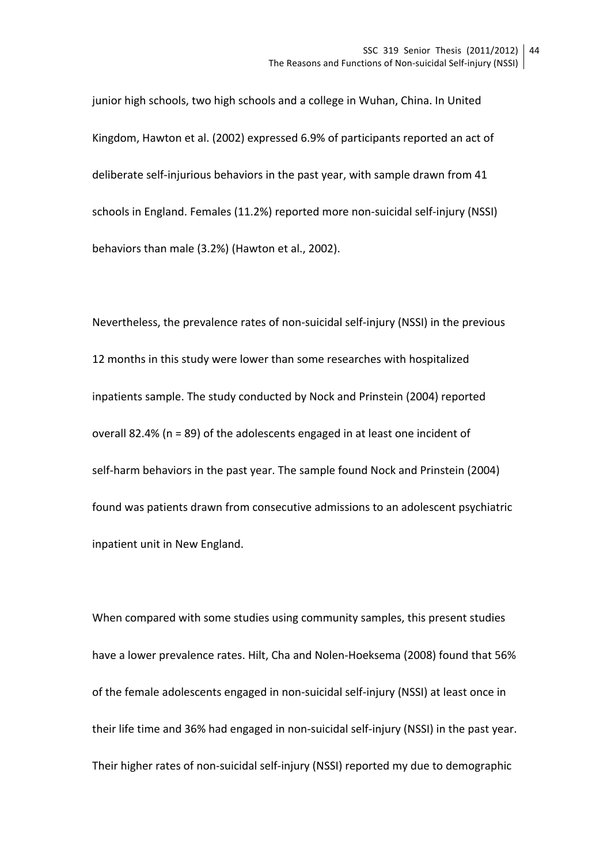junior high schools, two high schools and a college in Wuhan, China. In United Kingdom, Hawton et al. (2002) expressed 6.9% of participants reported an act of deliberate self-injurious behaviors in the past year, with sample drawn from 41 schools in England. Females (11.2%) reported more non-suicidal self-injury (NSSI) behaviors than male (3.2%) (Hawton et al., 2002).

Nevertheless, the prevalence rates of non-suicidal self-injury (NSSI) in the previous 12 months in this study were lower than some researches with hospitalized inpatients sample. The study conducted by Nock and Prinstein (2004) reported overall 82.4% ( $n = 89$ ) of the adolescents engaged in at least one incident of self-harm behaviors in the past year. The sample found Nock and Prinstein (2004) found was patients drawn from consecutive admissions to an adolescent psychiatric inpatient unit in New England.

When compared with some studies using community samples, this present studies have a lower prevalence rates. Hilt, Cha and Nolen-Hoeksema (2008) found that 56% of the female adolescents engaged in non-suicidal self-injury (NSSI) at least once in their life time and 36% had engaged in non-suicidal self-injury (NSSI) in the past year. Their higher rates of non-suicidal self-injury (NSSI) reported my due to demographic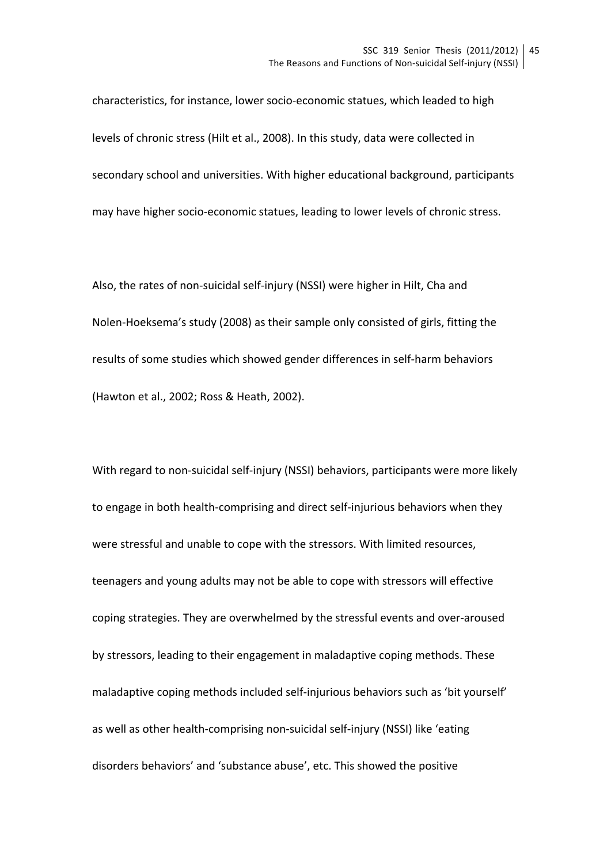characteristics, for instance, lower socio-economic statues, which leaded to high levels of chronic stress (Hilt et al., 2008). In this study, data were collected in secondary school and universities. With higher educational background, participants may have higher socio-economic statues, leading to lower levels of chronic stress.

Also, the rates of non-suicidal self-injury (NSSI) were higher in Hilt, Cha and Nolen-Hoeksema's study (2008) as their sample only consisted of girls, fitting the results of some studies which showed gender differences in self-harm behaviors (Hawton et al., 2002; Ross & Heath, 2002).

With regard to non-suicidal self-injury (NSSI) behaviors, participants were more likely to engage in both health-comprising and direct self-injurious behaviors when they were stressful and unable to cope with the stressors. With limited resources, teenagers and young adults may not be able to cope with stressors will effective coping strategies. They are overwhelmed by the stressful events and over-aroused by stressors, leading to their engagement in maladaptive coping methods. These maladaptive coping methods included self-injurious behaviors such as 'bit yourself' as well as other health-comprising non-suicidal self-injury (NSSI) like 'eating disorders behaviors' and 'substance abuse', etc. This showed the positive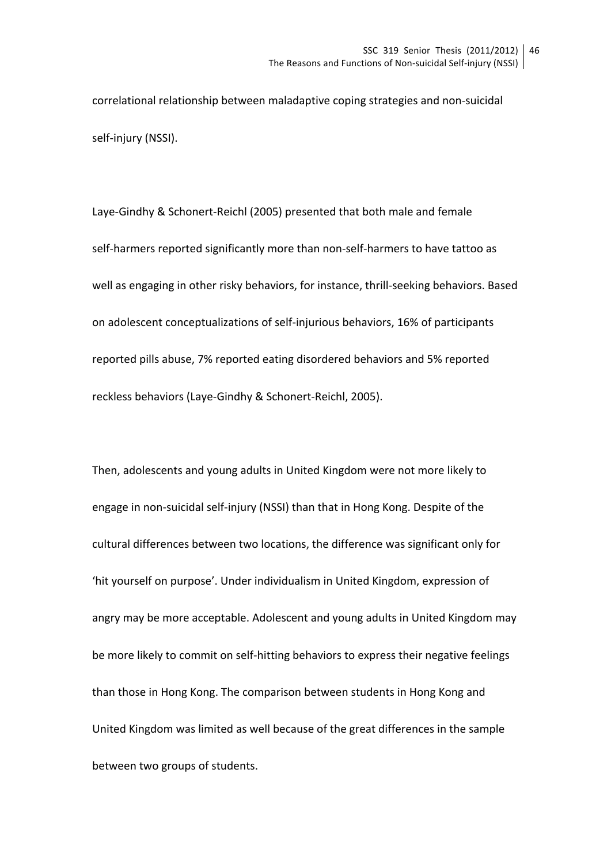correlational relationship between maladaptive coping strategies and non-suicidal self-injury (NSSI).

Laye-Gindhy & Schonert-Reichl (2005) presented that both male and female self-harmers reported significantly more than non-self-harmers to have tattoo as well as engaging in other risky behaviors, for instance, thrill-seeking behaviors. Based on adolescent conceptualizations of self-injurious behaviors, 16% of participants reported pills abuse, 7% reported eating disordered behaviors and 5% reported reckless behaviors (Laye-Gindhy & Schonert-Reichl, 2005).

Then, adolescents and young adults in United Kingdom were not more likely to engage in non-suicidal self-injury (NSSI) than that in Hong Kong. Despite of the cultural differences between two locations, the difference was significant only for 'hit vourself on purpose'. Under individualism in United Kingdom, expression of angry may be more acceptable. Adolescent and young adults in United Kingdom may be more likely to commit on self-hitting behaviors to express their negative feelings than those in Hong Kong. The comparison between students in Hong Kong and United Kingdom was limited as well because of the great differences in the sample between two groups of students.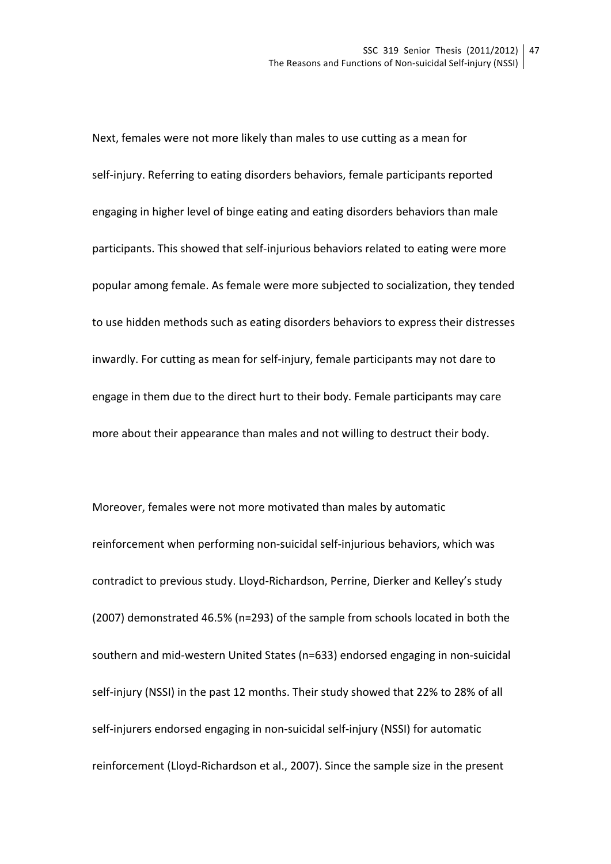Next, females were not more likely than males to use cutting as a mean for self-injury. Referring to eating disorders behaviors, female participants reported engaging in higher level of binge eating and eating disorders behaviors than male participants. This showed that self-injurious behaviors related to eating were more popular among female. As female were more subjected to socialization, they tended to use hidden methods such as eating disorders behaviors to express their distresses inwardly. For cutting as mean for self-injury, female participants may not dare to engage in them due to the direct hurt to their body. Female participants may care more about their appearance than males and not willing to destruct their body.

Moreover, females were not more motivated than males by automatic reinforcement when performing non-suicidal self-injurious behaviors, which was contradict to previous study. Lloyd-Richardson, Perrine, Dierker and Kelley's study (2007) demonstrated 46.5% (n=293) of the sample from schools located in both the southern and mid-western United States (n=633) endorsed engaging in non-suicidal self-injury (NSSI) in the past 12 months. Their study showed that 22% to 28% of all self-injurers endorsed engaging in non-suicidal self-injury (NSSI) for automatic reinforcement (Lloyd-Richardson et al., 2007). Since the sample size in the present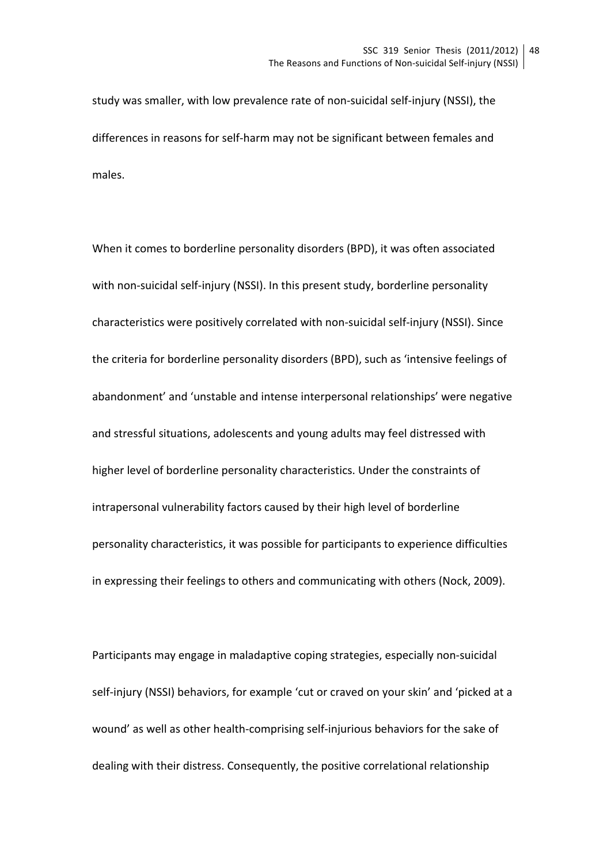study was smaller, with low prevalence rate of non-suicidal self-injury (NSSI), the differences in reasons for self-harm may not be significant between females and males. 

When it comes to borderline personality disorders (BPD), it was often associated with non-suicidal self-injury (NSSI). In this present study, borderline personality characteristics were positively correlated with non-suicidal self-injury (NSSI). Since the criteria for borderline personality disorders (BPD), such as 'intensive feelings of abandonment' and 'unstable and intense interpersonal relationships' were negative and stressful situations, adolescents and young adults may feel distressed with higher level of borderline personality characteristics. Under the constraints of intrapersonal vulnerability factors caused by their high level of borderline personality characteristics, it was possible for participants to experience difficulties in expressing their feelings to others and communicating with others (Nock, 2009).

Participants may engage in maladaptive coping strategies, especially non-suicidal self-injury (NSSI) behaviors, for example 'cut or craved on your skin' and 'picked at a wound' as well as other health-comprising self-injurious behaviors for the sake of dealing with their distress. Consequently, the positive correlational relationship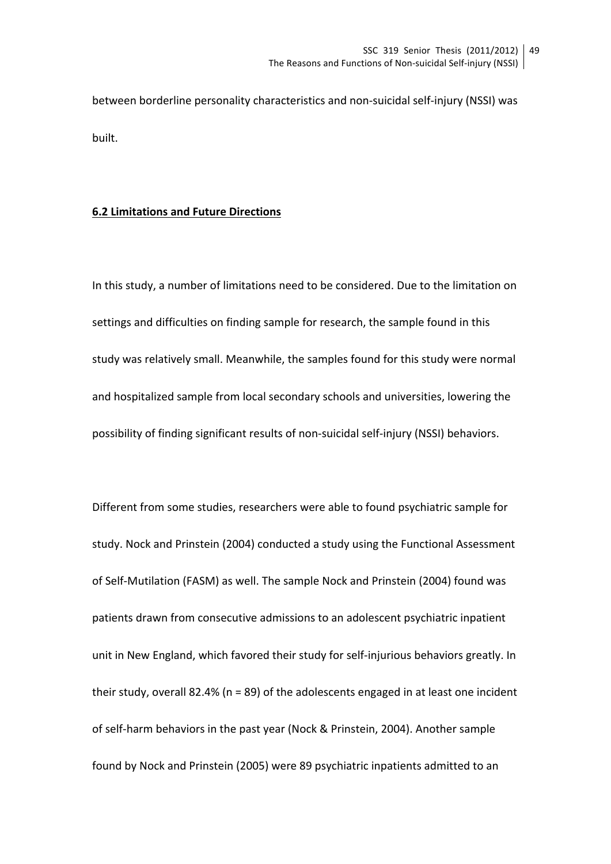between borderline personality characteristics and non-suicidal self-injury (NSSI) was built. 

#### **6.2 Limitations and Future Directions**

In this study, a number of limitations need to be considered. Due to the limitation on settings and difficulties on finding sample for research, the sample found in this study was relatively small. Meanwhile, the samples found for this study were normal and hospitalized sample from local secondary schools and universities, lowering the possibility of finding significant results of non-suicidal self-injury (NSSI) behaviors.

Different from some studies, researchers were able to found psychiatric sample for study. Nock and Prinstein (2004) conducted a study using the Functional Assessment of Self-Mutilation (FASM) as well. The sample Nock and Prinstein (2004) found was patients drawn from consecutive admissions to an adolescent psychiatric inpatient unit in New England, which favored their study for self-injurious behaviors greatly. In their study, overall 82.4% ( $n = 89$ ) of the adolescents engaged in at least one incident of self-harm behaviors in the past year (Nock & Prinstein, 2004). Another sample found by Nock and Prinstein (2005) were 89 psychiatric inpatients admitted to an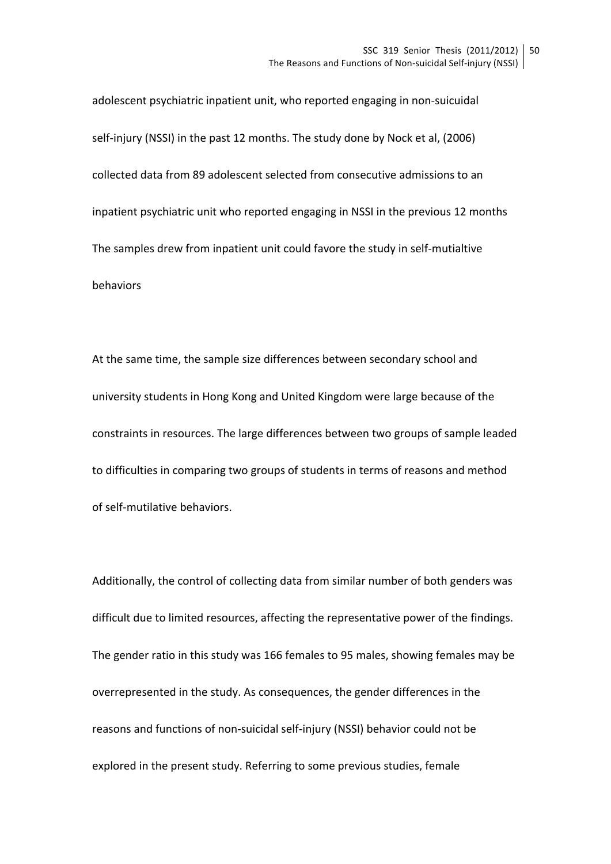adolescent psychiatric inpatient unit, who reported engaging in non-suicuidal self-injury (NSSI) in the past 12 months. The study done by Nock et al, (2006) collected data from 89 adolescent selected from consecutive admissions to an inpatient psychiatric unit who reported engaging in NSSI in the previous 12 months The samples drew from inpatient unit could favore the study in self-mutialtive behaviors 

At the same time, the sample size differences between secondary school and university students in Hong Kong and United Kingdom were large because of the constraints in resources. The large differences between two groups of sample leaded to difficulties in comparing two groups of students in terms of reasons and method of self-mutilative behaviors.

Additionally, the control of collecting data from similar number of both genders was difficult due to limited resources, affecting the representative power of the findings. The gender ratio in this study was 166 females to 95 males, showing females may be overrepresented in the study. As consequences, the gender differences in the reasons and functions of non-suicidal self-injury (NSSI) behavior could not be explored in the present study. Referring to some previous studies, female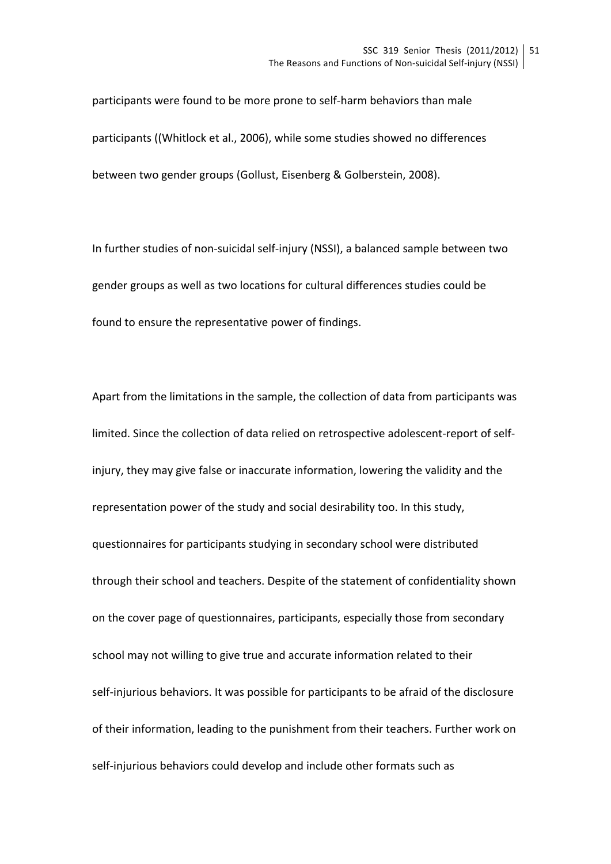participants were found to be more prone to self-harm behaviors than male participants ((Whitlock et al., 2006), while some studies showed no differences between two gender groups (Gollust, Eisenberg & Golberstein, 2008).

In further studies of non-suicidal self-injury (NSSI), a balanced sample between two gender groups as well as two locations for cultural differences studies could be found to ensure the representative power of findings.

Apart from the limitations in the sample, the collection of data from participants was limited. Since the collection of data relied on retrospective adolescent-report of selfinjury, they may give false or inaccurate information, lowering the validity and the representation power of the study and social desirability too. In this study, questionnaires for participants studying in secondary school were distributed through their school and teachers. Despite of the statement of confidentiality shown on the cover page of questionnaires, participants, especially those from secondary school may not willing to give true and accurate information related to their self-injurious behaviors. It was possible for participants to be afraid of the disclosure of their information, leading to the punishment from their teachers. Further work on self-injurious behaviors could develop and include other formats such as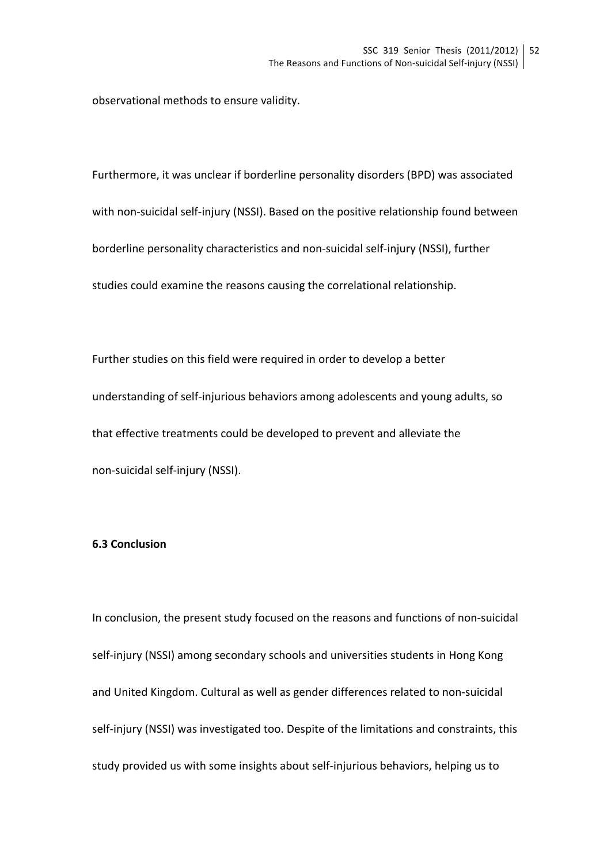observational methods to ensure validity.

Furthermore, it was unclear if borderline personality disorders (BPD) was associated with non-suicidal self-injury (NSSI). Based on the positive relationship found between borderline personality characteristics and non-suicidal self-injury (NSSI), further studies could examine the reasons causing the correlational relationship.

Further studies on this field were required in order to develop a better understanding of self-injurious behaviors among adolescents and young adults, so that effective treatments could be developed to prevent and alleviate the non-suicidal self-injury (NSSI).

### **6.3 Conclusion**

In conclusion, the present study focused on the reasons and functions of non-suicidal self-injury (NSSI) among secondary schools and universities students in Hong Kong and United Kingdom. Cultural as well as gender differences related to non-suicidal self-injury (NSSI) was investigated too. Despite of the limitations and constraints, this study provided us with some insights about self-injurious behaviors, helping us to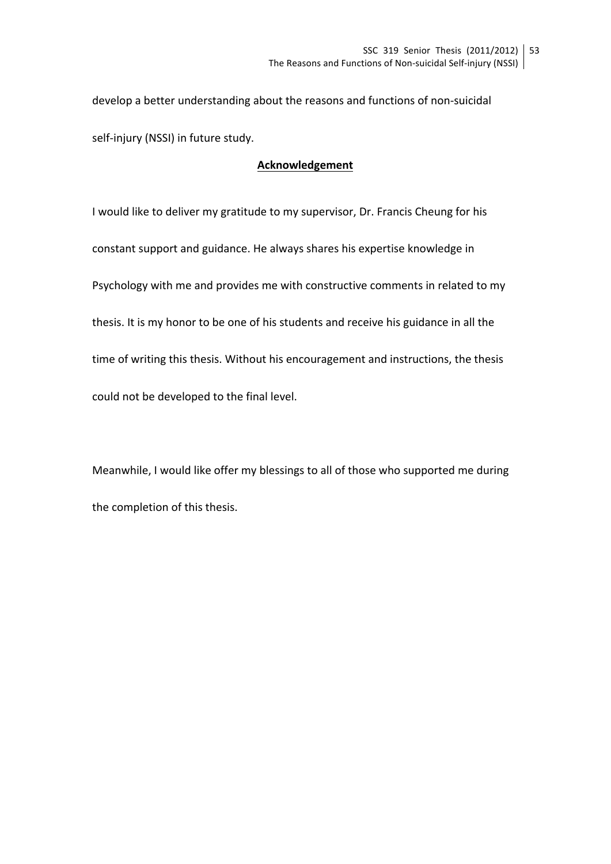develop a better understanding about the reasons and functions of non-suicidal self-injury (NSSI) in future study.

# **Acknowledgement**

I would like to deliver my gratitude to my supervisor, Dr. Francis Cheung for his constant support and guidance. He always shares his expertise knowledge in Psychology with me and provides me with constructive comments in related to my thesis. It is my honor to be one of his students and receive his guidance in all the time of writing this thesis. Without his encouragement and instructions, the thesis could not be developed to the final level.

Meanwhile, I would like offer my blessings to all of those who supported me during the completion of this thesis.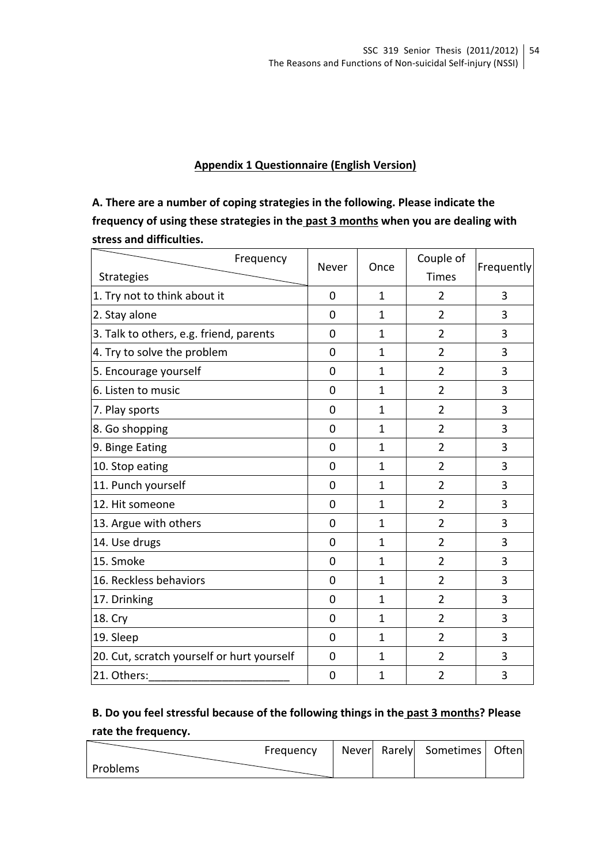# **Appendix 1 Questionnaire (English Version)**

A. There are a number of coping strategies in the following. Please indicate the frequency of using these strategies in the past 3 months when you are dealing with **stress and difficulties.**

| Frequency                                  | Never          | Once         | Couple of      | Frequently |
|--------------------------------------------|----------------|--------------|----------------|------------|
| <b>Strategies</b>                          |                |              | <b>Times</b>   |            |
| 1. Try not to think about it               | 0              | 1            | 2              | 3          |
| 2. Stay alone                              | $\Omega$       | 1            | $\overline{2}$ | 3          |
| 3. Talk to others, e.g. friend, parents    | $\overline{0}$ | $\mathbf{1}$ | $\overline{2}$ | 3          |
| 4. Try to solve the problem                | 0              | $\mathbf{1}$ | $\overline{2}$ | 3          |
| 5. Encourage yourself                      | $\mathbf 0$    | $\mathbf{1}$ | $\overline{2}$ | 3          |
| 6. Listen to music                         | $\mathbf 0$    | $\mathbf{1}$ | $\overline{2}$ | 3          |
| 7. Play sports                             | $\overline{0}$ | $\mathbf{1}$ | $\overline{2}$ | 3          |
| 8. Go shopping                             | 0              | 1            | $\overline{2}$ | 3          |
| 9. Binge Eating                            | $\mathbf 0$    | $\mathbf{1}$ | $\overline{2}$ | 3          |
| 10. Stop eating                            | $\mathbf 0$    | $\mathbf{1}$ | $\overline{2}$ | 3          |
| 11. Punch yourself                         | $\overline{0}$ | $\mathbf{1}$ | $\overline{2}$ | 3          |
| 12. Hit someone                            | $\mathbf 0$    | $\mathbf{1}$ | $\overline{2}$ | 3          |
| 13. Argue with others                      | $\mathbf 0$    | 1            | $\overline{2}$ | 3          |
| 14. Use drugs                              | $\overline{0}$ | $\mathbf{1}$ | $\overline{2}$ | 3          |
| 15. Smoke                                  | 0              | $\mathbf{1}$ | $\overline{2}$ | 3          |
| 16. Reckless behaviors                     | $\overline{0}$ | $\mathbf{1}$ | $\overline{2}$ | 3          |
| 17. Drinking                               | $\overline{0}$ | $\mathbf{1}$ | $\overline{2}$ | 3          |
| 18. Cry                                    | $\overline{0}$ | $\mathbf{1}$ | $\overline{2}$ | 3          |
| 19. Sleep                                  | $\overline{0}$ | $\mathbf{1}$ | $\overline{2}$ | 3          |
| 20. Cut, scratch yourself or hurt yourself | 0              | 1            | $\overline{2}$ | 3          |
| 21. Others:                                | 0              | $\mathbf{1}$ | $\overline{2}$ | 3          |

# B. Do you feel stressful because of the following things in the past 3 months? Please rate the frequency.

|          | Frequency |  | Never Rarely Sometimes Often |  |
|----------|-----------|--|------------------------------|--|
| Problems |           |  |                              |  |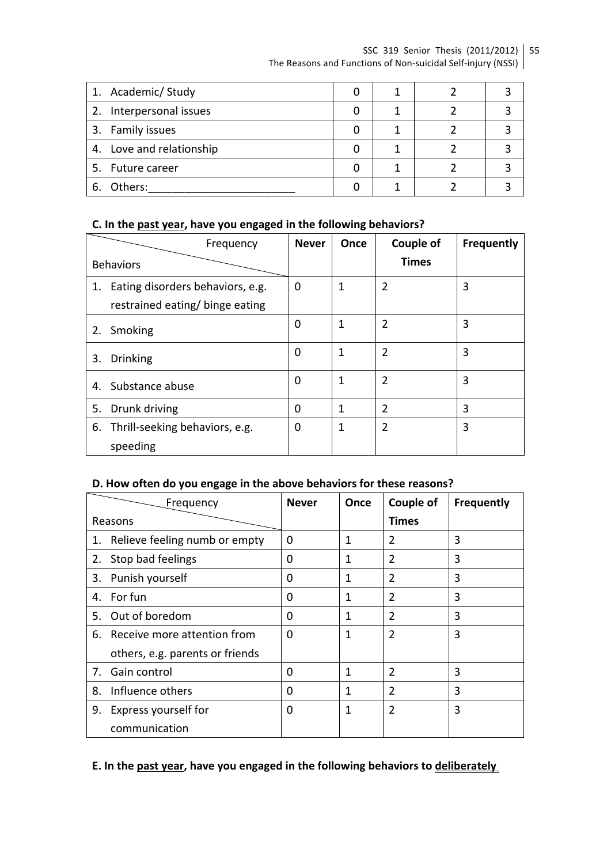### SSC 319 Senior Thesis (2011/2012) | 55 The Reasons and Functions of Non-suicidal Self-injury (NSSI)

| 1. Academic/ Study       |  |  |
|--------------------------|--|--|
| 2. Interpersonal issues  |  |  |
| 3. Family issues         |  |  |
| 4. Love and relationship |  |  |
| 5. Future career         |  |  |
| Others:<br>ь.            |  |  |

### C. In the past year, have you engaged in the following behaviors?

|    | Frequency                                                           | <b>Never</b> | Once | Couple of      | <b>Frequently</b> |
|----|---------------------------------------------------------------------|--------------|------|----------------|-------------------|
|    | <b>Behaviors</b>                                                    |              |      | <b>Times</b>   |                   |
| 1. | Eating disorders behaviors, e.g.<br>restrained eating/ binge eating | 0            | 1    | $\overline{2}$ | 3                 |
| 2. | Smoking                                                             | 0            | 1    | $\overline{2}$ | 3                 |
| 3. | <b>Drinking</b>                                                     | 0            | 1    | $\overline{2}$ | 3                 |
| 4. | Substance abuse                                                     | 0            | 1    | 2              | 3                 |
| 5. | Drunk driving                                                       | 0            | 1    | $\overline{2}$ | 3                 |
| 6. | Thrill-seeking behaviors, e.g.<br>speeding                          | 0            | 1    | 2              | 3                 |

# D. How often do you engage in the above behaviors for these reasons?

|    | Frequency                       | <b>Never</b> | Once | Couple of      | <b>Frequently</b> |
|----|---------------------------------|--------------|------|----------------|-------------------|
|    | Reasons                         |              |      | <b>Times</b>   |                   |
| 1. | Relieve feeling numb or empty   | $\Omega$     | 1    | 2              | 3                 |
| 2. | Stop bad feelings               | $\Omega$     | 1    | 2              | 3                 |
| 3. | Punish yourself                 | $\Omega$     | 1    | $\overline{2}$ | 3                 |
| 4. | For fun                         | $\Omega$     | 1    | $\overline{2}$ | 3                 |
| 5. | Out of boredom                  | $\Omega$     | 1    | 2              | 3                 |
|    | 6. Receive more attention from  | $\Omega$     | 1    | $\overline{2}$ | 3                 |
|    | others, e.g. parents or friends |              |      |                |                   |
| 7. | Gain control                    | $\Omega$     | 1    | $\overline{2}$ | 3                 |
| 8. | Influence others                | $\Omega$     | 1    | 2              | 3                 |
| 9. | Express yourself for            | $\Omega$     | 1    | $\overline{2}$ | 3                 |
|    | communication                   |              |      |                |                   |

# E. In the past year, have you engaged in the following behaviors to deliberately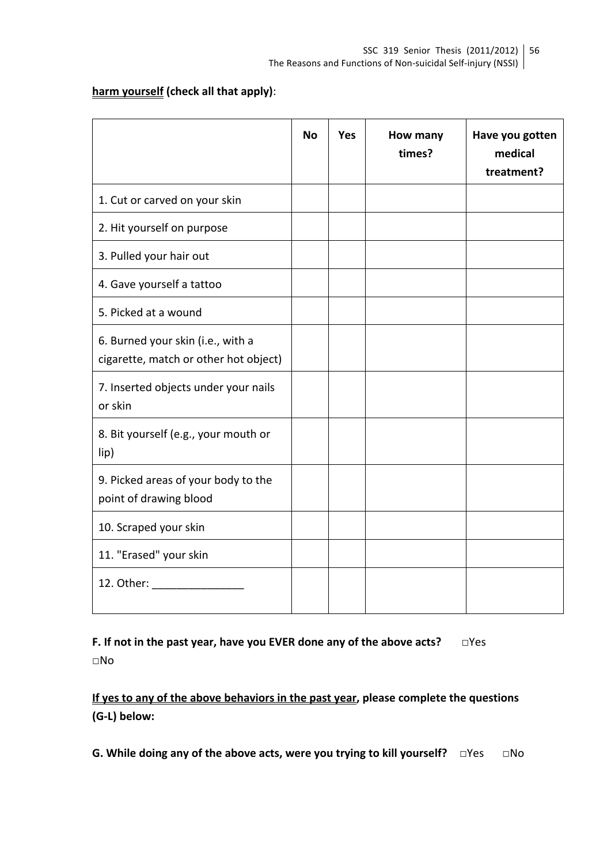# **harm yourself** (check all that apply):

|                                                                            | <b>No</b> | <b>Yes</b> | How many<br>times? | Have you gotten<br>medical<br>treatment? |
|----------------------------------------------------------------------------|-----------|------------|--------------------|------------------------------------------|
| 1. Cut or carved on your skin                                              |           |            |                    |                                          |
| 2. Hit yourself on purpose                                                 |           |            |                    |                                          |
| 3. Pulled your hair out                                                    |           |            |                    |                                          |
| 4. Gave yourself a tattoo                                                  |           |            |                    |                                          |
| 5. Picked at a wound                                                       |           |            |                    |                                          |
| 6. Burned your skin (i.e., with a<br>cigarette, match or other hot object) |           |            |                    |                                          |
| 7. Inserted objects under your nails<br>or skin                            |           |            |                    |                                          |
| 8. Bit yourself (e.g., your mouth or<br>lip)                               |           |            |                    |                                          |
| 9. Picked areas of your body to the<br>point of drawing blood              |           |            |                    |                                          |
| 10. Scraped your skin                                                      |           |            |                    |                                          |
| 11. "Erased" your skin                                                     |           |            |                    |                                          |
| 12. Other:                                                                 |           |            |                    |                                          |

**F.** If not in the past year, have you EVER done any of the above acts? □Yes □No

If yes to any of the above behaviors in the past year, please complete the questions **(G-L) below:**

**G.** While doing any of the above acts, were you trying to kill yourself? □Yes □No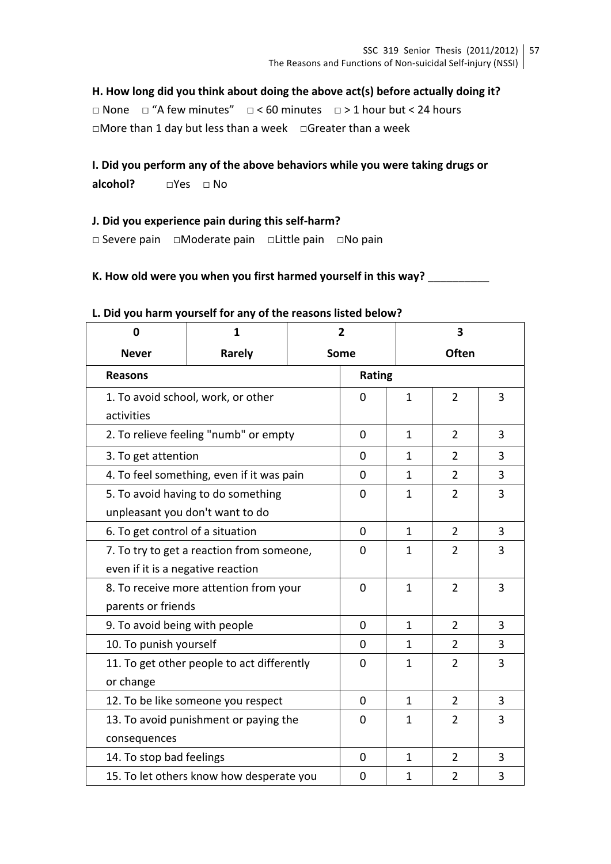# H. How long did you think about doing the above act(s) before actually doing it?

□ None □ "A few minutes" □ < 60 minutes □ > 1 hour but < 24 hours □More than 1 day but less than a week □Greater than a week

# **I.** Did you perform any of the above behaviors while you were taking drugs or

alcohol? □Yes □ No

# **J.** Did you experience pain during this self-harm?

□ Severe pain □Moderate pain □Little pain □No pain

# K. How old were you when you first harmed yourself in this way?

| 0                                     | 1                                          | $\overline{2}$ |                |                | 3              |   |
|---------------------------------------|--------------------------------------------|----------------|----------------|----------------|----------------|---|
| <b>Never</b>                          | Rarely                                     | Some           |                |                | <b>Often</b>   |   |
| <b>Reasons</b>                        |                                            |                | Rating         |                |                |   |
|                                       | 1. To avoid school, work, or other         |                | $\overline{0}$ | $\mathbf{1}$   | $\overline{2}$ | 3 |
| activities                            |                                            |                |                |                |                |   |
|                                       | 2. To relieve feeling "numb" or empty      |                | 0              | $\mathbf{1}$   | $\overline{2}$ | 3 |
| 3. To get attention                   |                                            |                | 0              | $\mathbf{1}$   | $\overline{2}$ | 3 |
|                                       | 4. To feel something, even if it was pain  |                | 0              | $\mathbf{1}$   | $\overline{2}$ | 3 |
|                                       | 5. To avoid having to do something         |                | 0              | 1              | $\overline{2}$ | 3 |
|                                       | unpleasant you don't want to do            |                |                |                |                |   |
| 6. To get control of a situation      |                                            |                | $\Omega$       | $\mathbf{1}$   | $\overline{2}$ | 3 |
|                                       | 7. To try to get a reaction from someone,  |                | $\Omega$       | 1              | $\overline{2}$ | 3 |
| even if it is a negative reaction     |                                            |                |                |                |                |   |
|                                       | 8. To receive more attention from your     |                | $\Omega$       | $\mathbf{1}$   | $\overline{2}$ | 3 |
| parents or friends                    |                                            |                |                |                |                |   |
| 9. To avoid being with people         |                                            |                | 0              | $\mathbf{1}$   | $\overline{2}$ | 3 |
| 10. To punish yourself                |                                            |                | $\Omega$       | $\mathbf{1}$   | $\overline{2}$ | 3 |
|                                       | 11. To get other people to act differently |                | $\Omega$       | 1              | $\overline{2}$ | 3 |
| or change                             |                                            |                |                |                |                |   |
|                                       | 12. To be like someone you respect         |                |                | $\mathbf{1}$   | $\overline{2}$ | 3 |
| 13. To avoid punishment or paying the |                                            | 0              | $\mathbf{1}$   | $\overline{2}$ | 3              |   |
| consequences                          |                                            |                |                |                |                |   |
| 14. To stop bad feelings              |                                            |                | 0              | $\mathbf{1}$   | $\overline{2}$ | 3 |
|                                       | 15. To let others know how desperate you   |                | 0              | $\mathbf{1}$   | $\overline{2}$ | 3 |

### L. Did you harm yourself for any of the reasons listed below?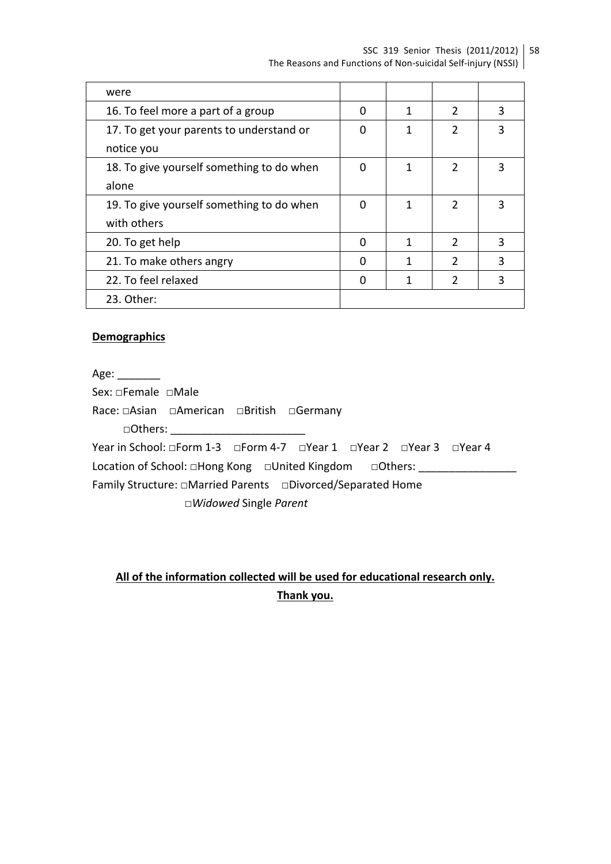SSC 319 Senior Thesis (2011/2012) | 58 The Reasons and Functions of Non-suicidal Self-injury (NSSI)

| were                                      |   |   |               |   |
|-------------------------------------------|---|---|---------------|---|
| 16. To feel more a part of a group        | ი | 1 | $\mathcal{P}$ | 3 |
| 17. To get your parents to understand or  |   |   | $\mathcal{P}$ |   |
| notice you                                |   |   |               |   |
| 18. To give yourself something to do when | O |   | $\mathcal{P}$ |   |
| alone                                     |   |   |               |   |
| 19. To give yourself something to do when | ∩ | 1 | $\mathcal{P}$ |   |
| with others                               |   |   |               |   |
| 20. To get help                           | ∩ | 1 | $\mathcal{P}$ | 3 |
| 21. To make others angry                  | n | 1 | $\mathcal{P}$ | 3 |
| 22. To feel relaxed                       |   | 1 | $\mathcal{P}$ | 3 |
| 23. Other:                                |   |   |               |   |

#### **Demographics**

Age: \_\_\_\_\_\_\_\_

Sex: □Female □Male

Race: □Asian □American □British □Germany

□Others:

Year in School: □Form 1-3 □Form 4-7 □Year 1 □Year 2 □Year 3 □Year 4 Location of School: □Hong Kong □United Kingdom □Others: \_\_\_\_\_\_\_\_\_\_\_\_\_\_\_\_\_\_\_\_\_\_\_\_

Family Structure: □Married Parents □Divorced/Separated Home

□*Widowed* Single *Parent*

# All of the information collected will be used for educational research only. **Thank you.**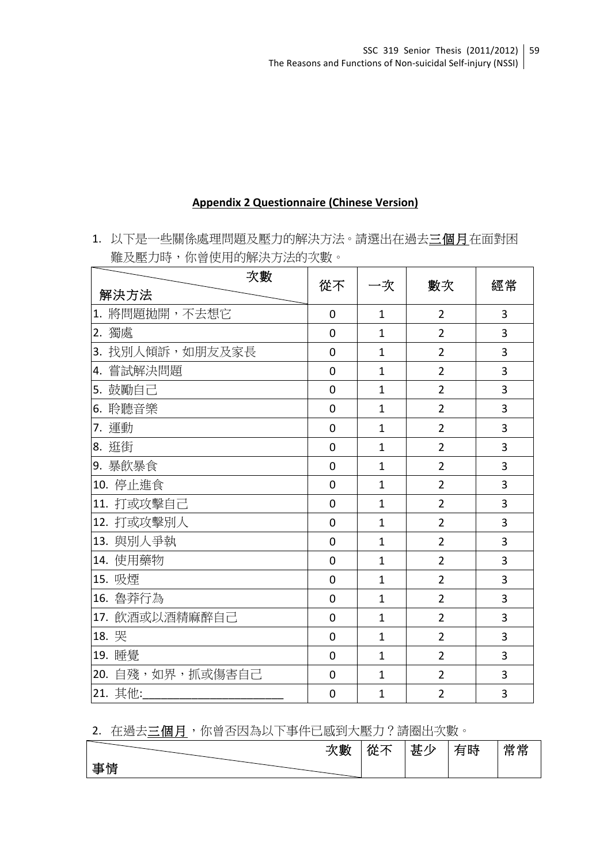### **Appendix 2 Questionnaire (Chinese Version)**

1. 以下是一些關係處理問題及壓力的解決方法。請選出在過去三個月在面對困 難及壓力時,你曾使用的解決方法的次數。

| 次數               | 從不             |                | 數次             | 經常             |
|------------------|----------------|----------------|----------------|----------------|
| 解決方法             |                | -次             |                |                |
| 1. 將問題拋開,不去想它    | $\overline{0}$ | 1              | $\overline{2}$ | 3              |
| 2. 獨處            | $\overline{0}$ | $\mathbf{1}$   | $\overline{2}$ | 3              |
| 3. 找別人傾訴,如朋友及家長  | $\mathbf 0$    | $\mathbf{1}$   | $\overline{2}$ | 3              |
| 4. 嘗試解決問題        | $\mathbf 0$    | $\mathbf{1}$   | $\overline{2}$ | 3              |
| 5. 鼓勵自己          | $\overline{0}$ | $\mathbf{1}$   | $\overline{2}$ | 3              |
| 6. 聆聽音樂          | $\mathbf 0$    | $\mathbf{1}$   | $\overline{2}$ | 3              |
| 7. 運動            | $\mathbf 0$    | $\mathbf{1}$   | $\overline{2}$ | 3              |
| 8. 逛街            | $\overline{0}$ | $\mathbf{1}$   | $\overline{2}$ | 3              |
| 9. 暴飲暴食          | $\mathbf 0$    | $\mathbf{1}$   | $\overline{2}$ | 3              |
| 10. 停止進食         | $\overline{0}$ | $\mathbf{1}$   | $\overline{2}$ | 3              |
| 11. 打或攻擊自己       | $\overline{0}$ | $\overline{1}$ | $\overline{2}$ | 3              |
| 12. 打或攻擊別人       | $\overline{0}$ | $\mathbf{1}$   | $\overline{2}$ | 3              |
| 13. 與別人爭執        | $\overline{0}$ | $\mathbf{1}$   | $\overline{2}$ | 3              |
| 14. 使用藥物         | $\overline{0}$ | $\mathbf{1}$   | $\overline{2}$ | 3              |
| 15. 吸煙           | $\overline{0}$ | $\overline{1}$ | $\overline{2}$ | $\overline{3}$ |
| 16. 魯莽行為         | $\overline{0}$ | $\mathbf{1}$   | $\overline{2}$ | 3              |
| 17. 飲酒或以酒精麻醉自己   | $\overline{0}$ | $\mathbf{1}$   | $\overline{2}$ | $\overline{3}$ |
| 18. 哭            | $\overline{0}$ | $\mathbf{1}$   | $\overline{2}$ | 3              |
| 19. 睡覺           | $\overline{0}$ | $\mathbf{1}$   | $\overline{2}$ | 3              |
| 20. 自殘,如界,抓或傷害自己 | $\overline{0}$ | $\mathbf{1}$   | $\overline{2}$ | 3              |
| 21. 其他:          | $\overline{0}$ | $\mathbf{1}$   | $\overline{2}$ | 3              |

# 2. 在過去三個月,你曾否因為以下事件已感到大壓力?請圈出次數。

|    | 次數 | 從不 | 甚少 | 有時 | 常常 |
|----|----|----|----|----|----|
| 事情 |    |    |    |    |    |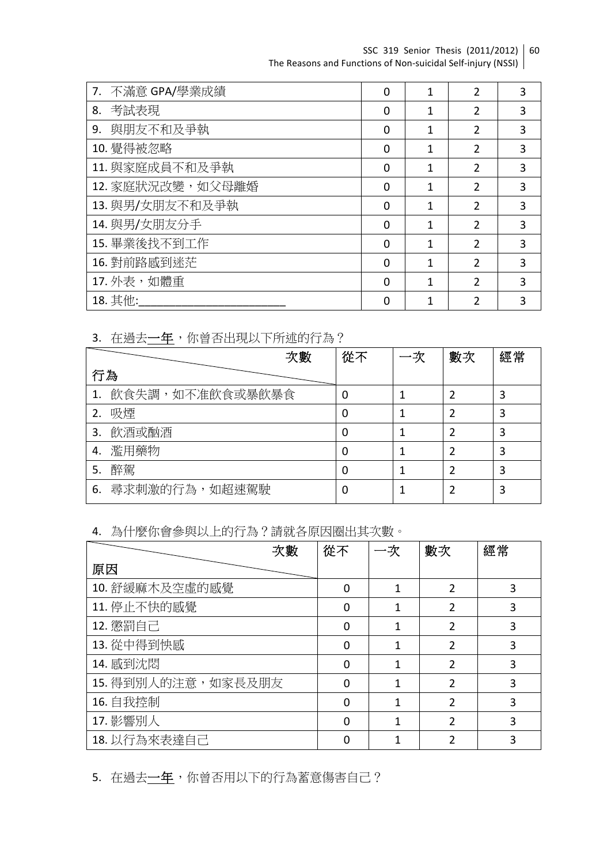SSC 319 Senior Thesis (2011/2012) | 60 The Reasons and Functions of Non-suicidal Self-injury (NSSI)

| 不滿意 GPA/學業成績<br>7. | $\Omega$ |   | 2 | 3 |
|--------------------|----------|---|---|---|
| 考試表現<br>8.         | 0        | 1 | 2 | 3 |
| 與朋友不和及爭執<br>9.     | 0        |   | 2 | 3 |
| 10. 覺得被忽略          | $\Omega$ | 1 | 2 | 3 |
| 11. 與家庭成員不和及爭執     | $\Omega$ | 1 | 2 | 3 |
| 12. 家庭狀況改變, 如父母離婚  | $\Omega$ | 1 | 2 | 3 |
| 13. 與男/女朋友不和及爭執    | $\Omega$ | 1 | 2 | 3 |
| 14. 與男/女朋友分手       | $\Omega$ | 1 | 2 | 3 |
| 15. 畢業後找不到工作       | $\Omega$ |   | 2 | 3 |
| 16. 對前路感到迷茫        | $\Omega$ |   | 2 | 3 |
| 17. 外表, 如體重        | 0        | 1 | 7 | 3 |
| 18. 其他:            | 0        |   |   | 3 |

3. 在過去一年,你曾否出現以下所述的行為?

|    |                 | 次數 | 從不 | 一次 | 數次 | 經常 |
|----|-----------------|----|----|----|----|----|
| 行為 |                 |    |    |    |    |    |
|    | 飲食失調,如不准飲食或暴飲暴食 |    | 0  |    |    | 3  |
| 2. | 吸煙              |    | 0  |    |    | 3  |
| 3. | 飲酒或酗酒           |    | 0  |    | າ  | 3  |
| 4. | 濫用藥物            |    | 0  |    |    | 3  |
| 5. | 醉駕              |    | 0  |    | າ  | 3  |
| 6. | 尋求刺激的行為, 如超速駕駛  |    | 0  |    |    | 3  |

4. 為什麼你會參與以上的行為?請就各原因圈出其次數。

| 次數                 | 從不       | 一次 | 數次 | 經常 |
|--------------------|----------|----|----|----|
| 原因                 |          |    |    |    |
| 10. 舒緩麻木及空虛的感覺     | $\Omega$ |    | 2  | 3  |
| 11. 停止不快的感覺        | $\Omega$ |    | 2  | 3  |
| 12. 懲罰自己           | $\Omega$ |    | 2  | 3  |
| 13. 從中得到怏感         | $\Omega$ |    | 2  | 3  |
| 14. 感到沈悶           | $\Omega$ |    | 2  | 3  |
| 15. 得到別人的注意,如家長及朋友 | $\Omega$ | 1  | 2  | 3  |
| 16. 自我控制           | $\Omega$ |    | 2  | 3  |
| 17. 影響別人           | $\Omega$ |    | 2  | 3  |
| 18. 以行為來表達自己       |          |    |    | 3  |

5. 在過去一年,你曾否用以下的行為蓄意傷害自己?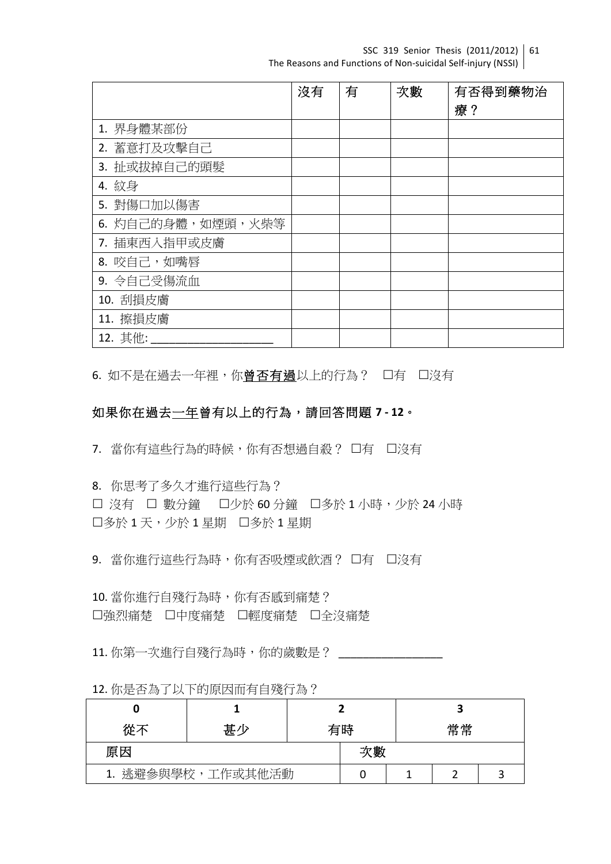SSC 319 Senior Thesis (2011/2012) | 61 The Reasons and Functions of Non-suicidal Self-injury (NSSI)

|                   | 沒有 | 有 | 次數 | 有否得到藥物治 |
|-------------------|----|---|----|---------|
|                   |    |   |    | 療?      |
| 1. 界身體某部份         |    |   |    |         |
| 2. 蓄意打及攻擊自己       |    |   |    |         |
| 3. 扯或拔掉自己的頭髮      |    |   |    |         |
| 4. 紋身             |    |   |    |         |
| 5. 對傷口加以傷害        |    |   |    |         |
| 6. 灼自己的身體,如煙頭,火柴等 |    |   |    |         |
| 7. 插東西入指甲或皮膚      |    |   |    |         |
| 8. 咬自己,如嘴唇        |    |   |    |         |
| 9. 令自己受傷流血        |    |   |    |         |
| 10. 刮損皮膚          |    |   |    |         |
| 11. 擦損皮膚          |    |   |    |         |
| 12. 其他:           |    |   |    |         |

6. 如不是在過去一年裡,你曾否有過以上的行為? 口有 口沒有

# 如果你在過去一年曾有以上的行為,請回答問題 **7 - 12**。

7. 當你有這些行為的時候,你有否想過自殺? 口有 口沒有

8. 你思考了多久才進行這些行為?

□ 沒有 □ 數分鐘 □少於 60 分鐘 □多於 1 小時,少於 24 小時 口多於 1 天,少於 1 星期 口多於 1 星期

9. 當你進行這些行為時,你有否吸煙或飲酒? 口有 口沒有

10. 當你進行自殘行為時,你有否感到痛楚? 口強烈痛楚 口中度痛楚 口輕度痛楚 口全沒痛楚

11. 你第一次進行自殘行為時,你的歲數是?

| 從不                | 甚少 | 有時 |    |  |  |  |
|-------------------|----|----|----|--|--|--|
| 原因                |    |    | 次數 |  |  |  |
| 1. 逃避參與學校,工作或其他活動 |    |    |    |  |  |  |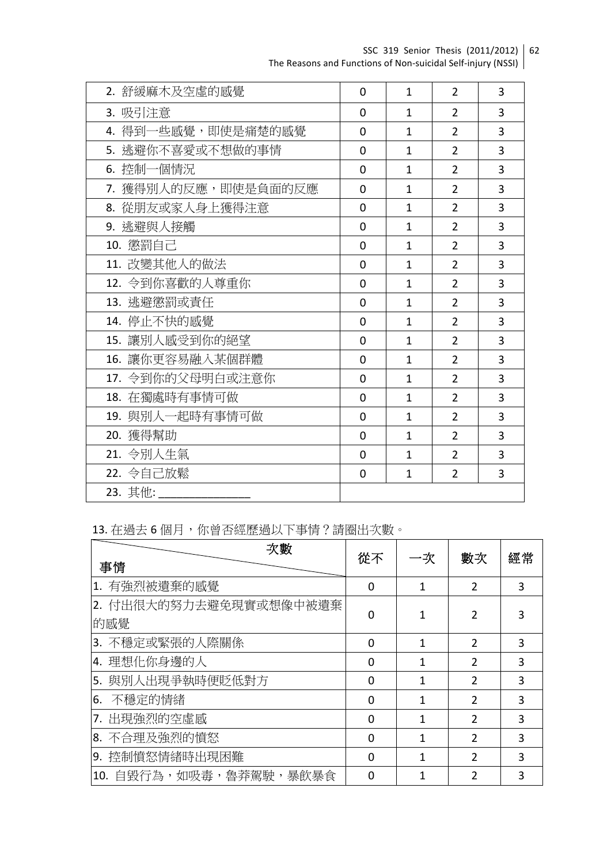SSC 319 Senior Thesis (2011/2012) The Reasons and Functions of Non-suicidal Self-injury (NSSI) 62

| 2. 舒緩麻木及空虛的感覺       | $\overline{0}$ | $\mathbf{1}$ | $\overline{2}$ | 3              |
|---------------------|----------------|--------------|----------------|----------------|
| 3. 吸引注意             | $\overline{0}$ | $\mathbf{1}$ | $\overline{2}$ | 3              |
| 4. 得到一些感覺, 即使是痛楚的感覺 | $\mathbf{0}$   | $\mathbf{1}$ | $\overline{2}$ | 3              |
| 5. 逃避你不喜愛或不想做的事情    | $\overline{0}$ | $\mathbf{1}$ | $\overline{2}$ | 3              |
| 6. 控制一個情況           | $\mathbf{0}$   | $\mathbf{1}$ | $\overline{2}$ | 3              |
| 7. 獲得別人的反應,即使是負面的反應 | $\mathbf{0}$   | $\mathbf{1}$ | $\overline{2}$ | 3              |
| 8. 從朋友或家人身上獲得注意     | $\overline{0}$ | $\mathbf{1}$ | $\overline{2}$ | 3              |
| 9. 逃避與人接觸           | $\mathbf{0}$   | $\mathbf{1}$ | $\overline{2}$ | 3              |
| 10. 懲罰自己            | $\mathbf{0}$   | 1            | $\overline{2}$ | 3              |
| 11. 改變其他人的做法        | $\overline{0}$ | $\mathbf{1}$ | $\overline{2}$ | $\overline{3}$ |
| 12. 令到你喜歡的人尊重你      | $\overline{0}$ | $\mathbf{1}$ | $\overline{2}$ | 3              |
| 13. 逃避懲罰或責任         | $\mathbf{0}$   | 1            | $\overline{2}$ | 3              |
| 14. 停止不快的感覺         | $\mathbf{0}$   | $\mathbf{1}$ | $\overline{2}$ | 3              |
| 15. 讓別人感受到你的絕望      | $\mathbf{0}$   | $\mathbf{1}$ | $\overline{2}$ | 3              |
| 16. 讓你更容易融入某個群體     | $\mathbf{0}$   | $\mathbf{1}$ | $\overline{2}$ | 3              |
| 17. 令到你的父母明白或注意你    | $\overline{0}$ | $\mathbf{1}$ | $\overline{2}$ | 3              |
| 18. 在獨處時有事情可做       | $\mathbf{0}$   | $\mathbf{1}$ | $\overline{2}$ | 3              |
| 19. 與別人一起時有事情可做     | $\mathbf{0}$   | $\mathbf{1}$ | $\overline{2}$ | 3              |
| 20. 獲得幫助            | $\overline{0}$ | $\mathbf{1}$ | $\overline{2}$ | 3              |
| 21. 令別人生氣           | $\overline{0}$ | 1            | $\overline{2}$ | 3              |
| 22. 令自己放鬆           | $\Omega$       | $\mathbf{1}$ | $\overline{2}$ | 3              |
| 23. 其他:             |                |              |                |                |

13. 在過去6個月,你曾否經歷過以下事情?請圈出次數。

|    | 次數<br>事情                      |          | 一次           | 數次             | 經常 |
|----|-------------------------------|----------|--------------|----------------|----|
|    | 1. 有強烈被遺棄的感覺                  | $\Omega$ | 1            | 2              | 3  |
|    | 2. 付出很大的努力去避免現實或想像中被遺棄<br>的感覺 | 0        |              |                |    |
|    | 3. 不穩定或緊張的人際關係                | 0        | 1            | 2              | 3  |
|    | 4. 理想化你身邊的人                   | $\Omega$ |              | 2              | 3  |
|    | 5. 與別人出現爭執時便貶低對方              | 0        |              | $\mathfrak{p}$ | 3  |
| 6. | 不穩定的情緒                        | $\Omega$ | 1            | 2              | 3  |
|    | 17. 出現強烈的空虛感                  | $\Omega$ |              | 2              | 3  |
|    | 8. 不合理及強烈的憤怒                  | $\Omega$ |              | 2              | 3  |
|    | 9. 控制憤怒情緒時出現困難                | $\Omega$ | $\mathbf{1}$ | 2              | 3  |
|    | 10. 自毀行為,如吸毒,魯莽駕駛,暴飲暴食        | 0        |              |                | 3  |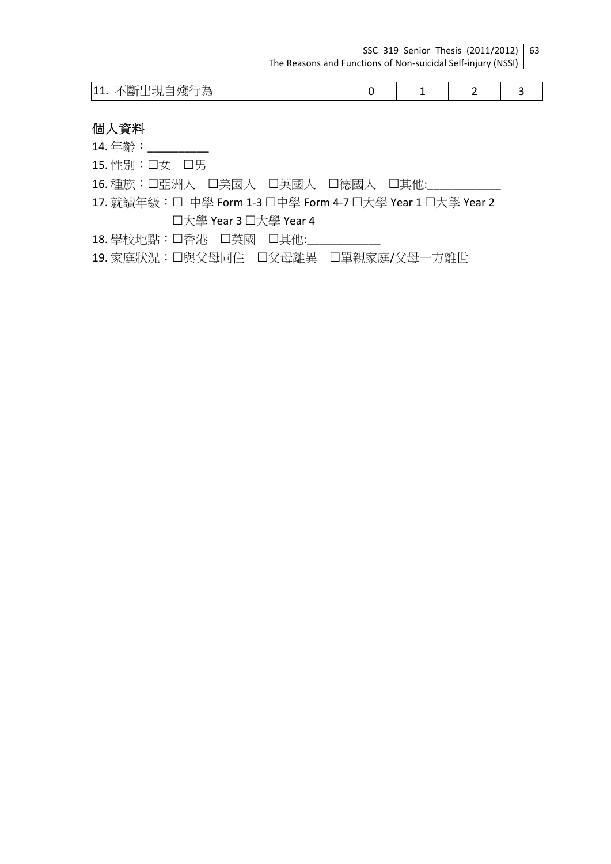| SSC 319 Senior Thesis (2011/2012) 63                         |  |
|--------------------------------------------------------------|--|
| The Reasons and Functions of Non-suicidal Self-injury (NSSI) |  |

| …現自殘行*<br>下斷ト<br>$ 11$ .<br>心 |  |  |  |  |
|-------------------------------|--|--|--|--|
|-------------------------------|--|--|--|--|

# 個人資料

14. 年齡: \_\_\_\_\_\_\_\_\_\_ 15. 性別: 口女 口男 16. 種族:口亞洲人 口美國人 口英國人 口德國人 口其他: 17. 就讀年級: □ 中學 Form 1-3 미中學 Form 4-7 미大學 Year 1 미大學 Year 2 口大學 Year 3 口大學 Year 4 18. 學校地點:口香港 口英國 口其他: 19. 家庭狀況:口與父母同住 口父母離異 口單親家庭/父母一方離世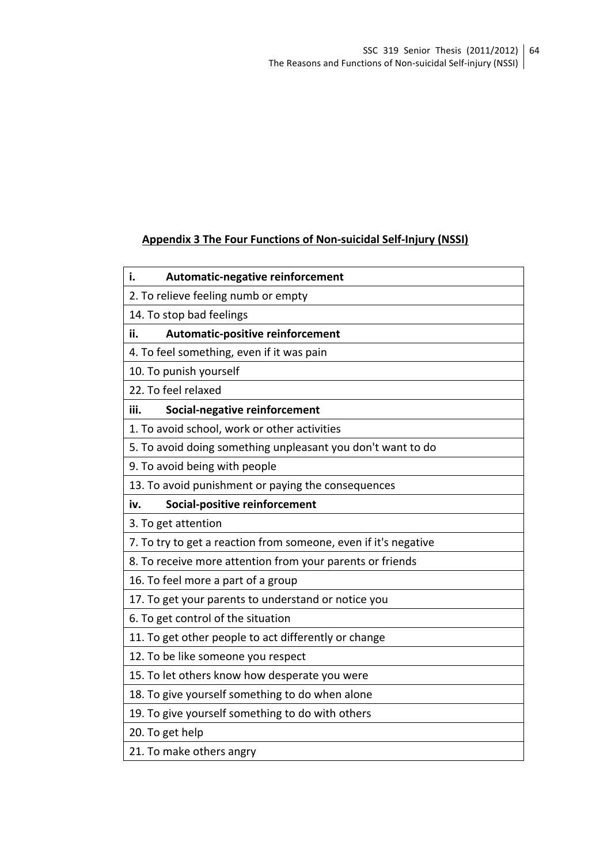# **Appendix 3 The Four Functions of Non-suicidal Self-Injury (NSSI)**

| 2. To relieve feeling numb or empty<br>14. To stop bad feelings |
|-----------------------------------------------------------------|
|                                                                 |
|                                                                 |
| ii.<br>Automatic-positive reinforcement                         |
| 4. To feel something, even if it was pain                       |
| 10. To punish yourself                                          |
| 22. To feel relaxed                                             |
| iii.<br>Social-negative reinforcement                           |
| 1. To avoid school, work or other activities                    |
| 5. To avoid doing something unpleasant you don't want to do     |
| 9. To avoid being with people                                   |
| 13. To avoid punishment or paying the consequences              |
| Social-positive reinforcement<br>iv.                            |
| 3. To get attention                                             |
| 7. To try to get a reaction from someone, even if it's negative |
| 8. To receive more attention from your parents or friends       |
| 16. To feel more a part of a group                              |
| 17. To get your parents to understand or notice you             |
| 6. To get control of the situation                              |
| 11. To get other people to act differently or change            |
| 12. To be like someone you respect                              |
| 15. To let others know how desperate you were                   |
| 18. To give yourself something to do when alone                 |
| 19. To give yourself something to do with others                |
| 20. To get help                                                 |
| 21. To make others angry                                        |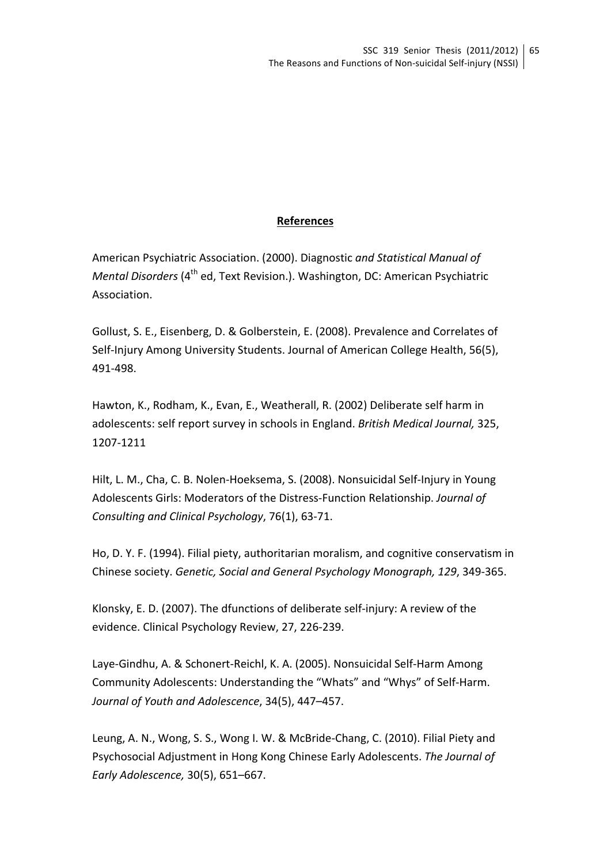# **References**

American Psychiatric Association. (2000). Diagnostic *and Statistical Manual of Mental Disorders* (4<sup>th</sup> ed, Text Revision.). Washington, DC: American Psychiatric Association.

Gollust, S. E., Eisenberg, D. & Golberstein, E. (2008). Prevalence and Correlates of Self-Injury Among University Students. Journal of American College Health, 56(5), 491-498. 

Hawton, K., Rodham, K., Evan, E., Weatherall, R. (2002) Deliberate self harm in adolescents: self report survey in schools in England. British Medical Journal, 325, 1207-1211

Hilt, L. M., Cha, C. B. Nolen-Hoeksema, S. (2008). Nonsuicidal Self-Injury in Young Adolescents Girls: Moderators of the Distress-Function Relationship. *Journal of Consulting and Clinical Psychology*, 76(1), 63-71. 

Ho, D. Y. F. (1994). Filial piety, authoritarian moralism, and cognitive conservatism in Chinese society. *Genetic, Social and General Psychology Monograph, 129, 349-365.* 

Klonsky, E. D. (2007). The dfunctions of deliberate self-injury: A review of the evidence. Clinical Psychology Review, 27, 226-239.

Laye-Gindhu, A. & Schonert-Reichl, K. A. (2005). Nonsuicidal Self-Harm Among Community Adolescents: Understanding the "Whats" and "Whys" of Self-Harm. *Journal of Youth and Adolescence*, 34(5), 447–457.

Leung, A. N., Wong, S. S., Wong I. W. & McBride-Chang, C. (2010). Filial Piety and Psychosocial Adjustment in Hong Kong Chinese Early Adolescents. The Journal of *Early Adolescence,* 30(5), 651–667.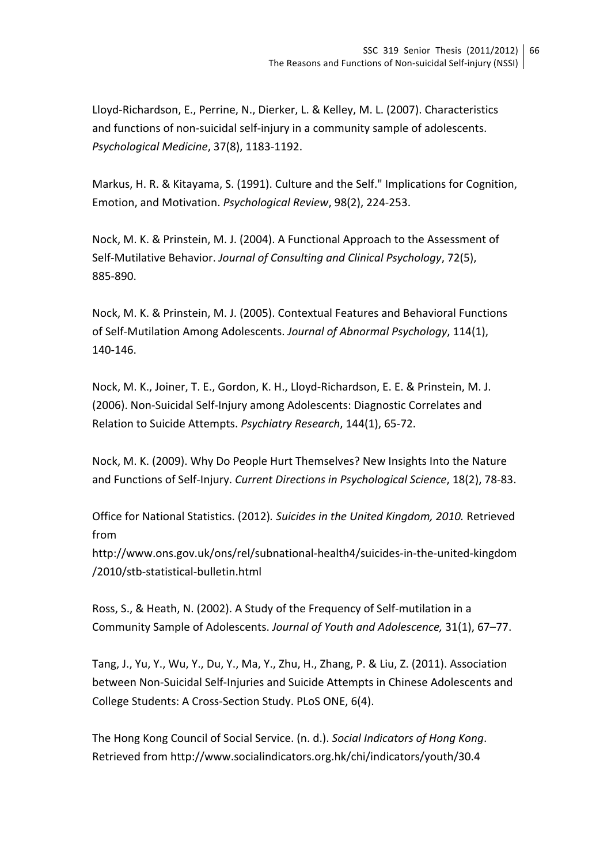Lloyd-Richardson, E., Perrine, N., Dierker, L. & Kelley, M. L. (2007). Characteristics and functions of non-suicidal self-injury in a community sample of adolescents. *Psychological Medicine*, 37(8), 1183-1192.

Markus, H. R. & Kitayama, S. (1991). Culture and the Self." Implications for Cognition, Emotion, and Motivation. *Psychological Review*, 98(2), 224-253.

Nock, M. K. & Prinstein, M. J. (2004). A Functional Approach to the Assessment of Self-Mutilative Behavior. *Journal of Consulting and Clinical Psychology*, 72(5), 885-890.

Nock, M. K. & Prinstein, M. J. (2005). Contextual Features and Behavioral Functions of Self-Mutilation Among Adolescents. *Journal of Abnormal Psychology*, 114(1), 140-146. 

Nock, M. K., Joiner, T. E., Gordon, K. H., Lloyd-Richardson, E. E. & Prinstein, M. J. (2006). Non-Suicidal Self-Injury among Adolescents: Diagnostic Correlates and Relation to Suicide Attempts. *Psychiatry Research*, 144(1), 65-72.

Nock, M. K. (2009). Why Do People Hurt Themselves? New Insights Into the Nature and Functions of Self-Injury. *Current Directions in Psychological Science*, 18(2), 78-83.

Office for National Statistics. (2012). Suicides in the United Kingdom, 2010. Retrieved from

http://www.ons.gov.uk/ons/rel/subnational-health4/suicides-in-the-united-kingdom /2010/stb-statistical-bulletin.html

Ross, S., & Heath, N. (2002). A Study of the Frequency of Self-mutilation in a Community Sample of Adolescents. Journal of Youth and Adolescence, 31(1), 67-77.

Tang, J., Yu, Y., Wu, Y., Du, Y., Ma, Y., Zhu, H., Zhang, P. & Liu, Z. (2011). Association between Non-Suicidal Self-Injuries and Suicide Attempts in Chinese Adolescents and College Students: A Cross-Section Study. PLoS ONE, 6(4).

The Hong Kong Council of Social Service. (n. d.). Social Indicators of Hong Kong. Retrieved from http://www.socialindicators.org.hk/chi/indicators/youth/30.4